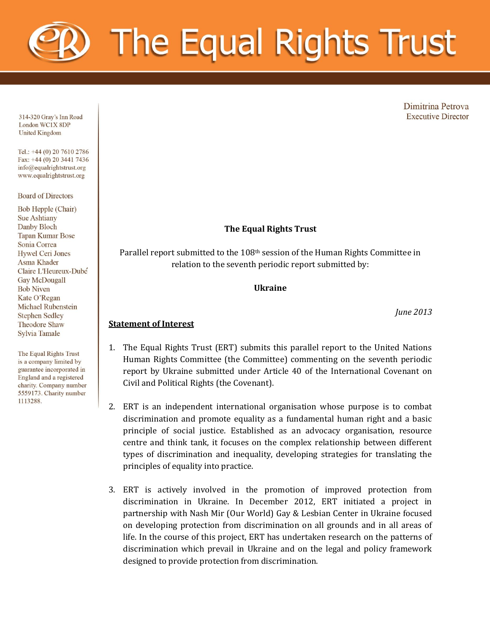

Dimitrina Petrova **Executive Director** 

314-320 Gray's Inn Road London WC1X 8DP **United Kingdom** 

Tel.: +44 (0) 20 7610 2786 Fax: +44 (0) 20 3441 7436 info@equalrightstrust.org www.equalrightstrust.org

#### **Board of Directors**

Bob Hepple (Chair) **Sue Ashtiany** Danby Bloch **Tapan Kumar Bose** Sonia Correa **Hywel Ceri Jones** Asma Khader Claire L'Heureux-Dube Gay McDougall **Bob Niven** Kate O'Regan Michael Rubenstein **Stephen Sedley Theodore Shaw Sylvia Tamale** 

The Equal Rights Trust is a company limited by guarantee incorporated in England and a registered charity. Company number 5559173. Charity number 1113288.

### **The Equal Rights Trust**

Parallel report submitted to the 108th session of the Human Rights Committee in relation to the seventh periodic report submitted by:

#### **Ukraine**

*June 2013*

#### **Statement of Interest**

- 1. The Equal Rights Trust (ERT) submits this parallel report to the United Nations Human Rights Committee (the Committee) commenting on the seventh periodic report by Ukraine submitted under Article 40 of the International Covenant on Civil and Political Rights (the Covenant).
	- 2. ERT is an independent international organisation whose purpose is to combat discrimination and promote equality as a fundamental human right and a basic principle of social justice. Established as an advocacy organisation, resource centre and think tank, it focuses on the complex relationship between different types of discrimination and inequality, developing strategies for translating the principles of equality into practice.
	- 3. ERT is actively involved in the promotion of improved protection from discrimination in Ukraine. In December 2012, ERT initiated a project in partnership with Nash Mir (Our World) Gay & Lesbian Center in Ukraine focused on developing protection from discrimination on all grounds and in all areas of life. In the course of this project, ERT has undertaken research on the patterns of discrimination which prevail in Ukraine and on the legal and policy framework designed to provide protection from discrimination.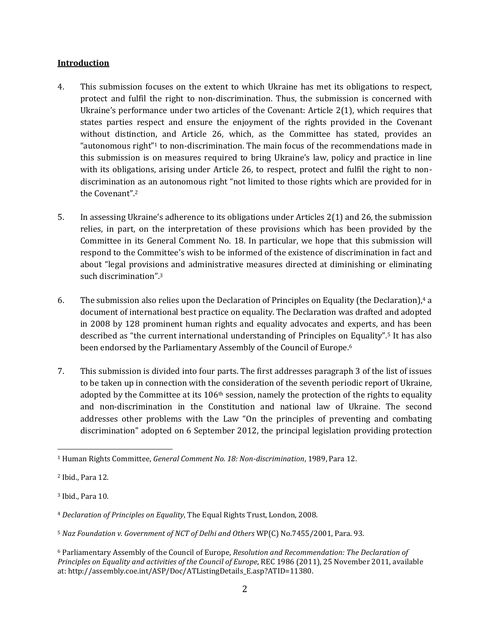#### **Introduction**

- 4. This submission focuses on the extent to which Ukraine has met its obligations to respect, protect and fulfil the right to non-discrimination. Thus, the submission is concerned with Ukraine's performance under two articles of the Covenant: Article 2(1), which requires that states parties respect and ensure the enjoyment of the rights provided in the Covenant without distinction, and Article 26, which, as the Committee has stated, provides an "autonomous right"<sup>1</sup> to non-discrimination. The main focus of the recommendations made in this submission is on measures required to bring Ukraine's law, policy and practice in line with its obligations, arising under Article 26, to respect, protect and fulfil the right to nondiscrimination as an autonomous right "not limited to those rights which are provided for in the Covenant".<sup>2</sup>
- 5. In assessing Ukraine's adherence to its obligations under Articles 2(1) and 26, the submission relies, in part, on the interpretation of these provisions which has been provided by the Committee in its General Comment No. 18. In particular, we hope that this submission will respond to the Committee's wish to be informed of the existence of discrimination in fact and about "legal provisions and administrative measures directed at diminishing or eliminating such discrimination".<sup>3</sup>
- 6. The submission also relies upon the Declaration of Principles on Equality (the Declaration),<sup>4</sup> a document of international best practice on equality. The Declaration was drafted and adopted in 2008 by 128 prominent human rights and equality advocates and experts, and has been described as "the current international understanding of Principles on Equality".<sup>5</sup> It has also been endorsed by the Parliamentary Assembly of the Council of Europe.<sup>6</sup>
- 7. This submission is divided into four parts. The first addresses paragraph 3 of the list of issues to be taken up in connection with the consideration of the seventh periodic report of Ukraine, adopted by the Committee at its  $106<sup>th</sup>$  session, namely the protection of the rights to equality and non-discrimination in the Constitution and national law of Ukraine. The second addresses other problems with the Law "On the principles of preventing and combating discrimination" adopted on 6 September 2012, the principal legislation providing protection

<sup>1</sup> Human Rights Committee, *General Comment No. 18: Non-discrimination*, 1989, Para 12.

<sup>2</sup> Ibid., Para 12.

<sup>3</sup> Ibid., Para 10.

<sup>4</sup> *Declaration of Principles on Equality*, The Equal Rights Trust, London, 2008.

<sup>5</sup> *Naz Foundation v. Government of NCT of Delhi and Others* WP(C) No.7455/2001, Para. 93.

<sup>6</sup> Parliamentary Assembly of the Council of Europe, *Resolution and Recommendation: The Declaration of Principles on Equality and activities of the Council of Europe*, REC 1986 (2011), 25 November 2011, available at: http://assembly.coe.int/ASP/Doc/ATListingDetails\_E.asp?ATID=11380.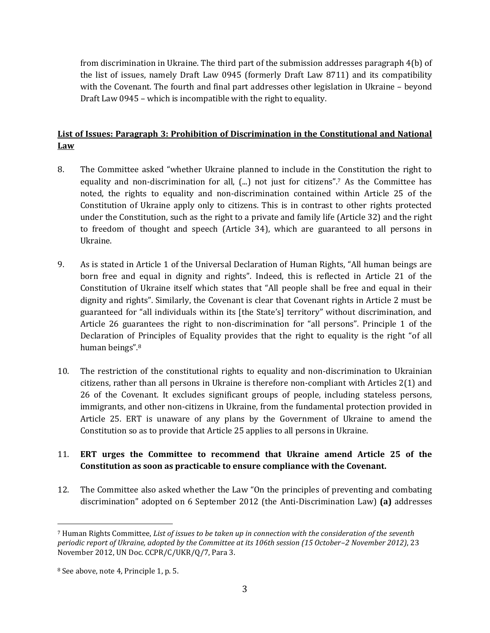from discrimination in Ukraine. The third part of the submission addresses paragraph 4(b) of the list of issues, namely Draft Law 0945 (formerly Draft Law 8711) and its compatibility with the Covenant. The fourth and final part addresses other legislation in Ukraine – beyond Draft Law 0945 – which is incompatible with the right to equality.

## **List of Issues: Paragraph 3: Prohibition of Discrimination in the Constitutional and National Law**

- 8. The Committee asked "whether Ukraine planned to include in the Constitution the right to equality and non-discrimination for all, (...) not just for citizens".<sup>7</sup> As the Committee has noted, the rights to equality and non-discrimination contained within Article 25 of the Constitution of Ukraine apply only to citizens. This is in contrast to other rights protected under the Constitution, such as the right to a private and family life (Article 32) and the right to freedom of thought and speech (Article 34), which are guaranteed to all persons in Ukraine.
- 9. As is stated in Article 1 of the Universal Declaration of Human Rights, "All human beings are born free and equal in dignity and rights". Indeed, this is reflected in Article 21 of the Constitution of Ukraine itself which states that "All people shall be free and equal in their dignity and rights". Similarly, the Covenant is clear that Covenant rights in Article 2 must be guaranteed for "all individuals within its [the State's] territory" without discrimination, and Article 26 guarantees the right to non-discrimination for "all persons". Principle 1 of the Declaration of Principles of Equality provides that the right to equality is the right "of all human beings".<sup>8</sup>
- 10. The restriction of the constitutional rights to equality and non-discrimination to Ukrainian citizens, rather than all persons in Ukraine is therefore non-compliant with Articles 2(1) and 26 of the Covenant. It excludes significant groups of people, including stateless persons, immigrants, and other non-citizens in Ukraine, from the fundamental protection provided in Article 25. ERT is unaware of any plans by the Government of Ukraine to amend the Constitution so as to provide that Article 25 applies to all persons in Ukraine.

## 11. **ERT urges the Committee to recommend that Ukraine amend Article 25 of the Constitution as soon as practicable to ensure compliance with the Covenant.**

12. The Committee also asked whether the Law "On the principles of preventing and combating discrimination" adopted on 6 September 2012 (the Anti-Discrimination Law) **(a)** addresses

<sup>7</sup> Human Rights Committee, *List of issues to be taken up in connection with the consideration of the seventh periodic report of Ukraine, adopted by the Committee at its 106th session (15 October–2 November 2012)*, 23 November 2012, UN Doc. CCPR/C/UKR/Q/7, Para 3.

<sup>8</sup> See above, note 4, Principle 1, p. 5.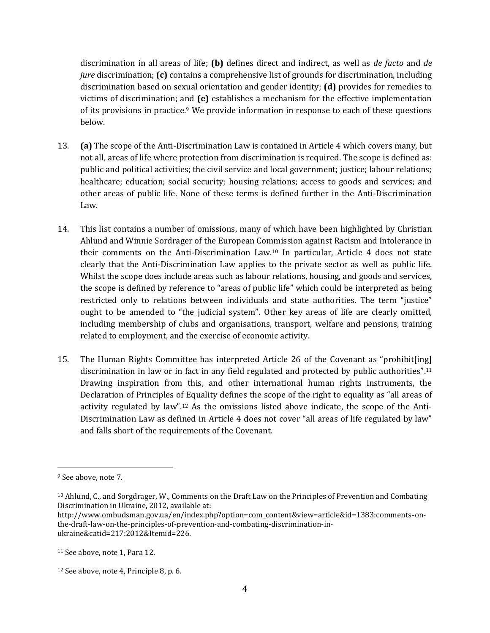discrimination in all areas of life; **(b)** defines direct and indirect, as well as *de facto* and *de jure* discrimination; **(c)** contains a comprehensive list of grounds for discrimination, including discrimination based on sexual orientation and gender identity; **(d)** provides for remedies to victims of discrimination; and **(e)** establishes a mechanism for the effective implementation of its provisions in practice.<sup>9</sup> We provide information in response to each of these questions below.

- 13. **(a)** The scope of the Anti-Discrimination Law is contained in Article 4 which covers many, but not all, areas of life where protection from discrimination is required. The scope is defined as: public and political activities; the civil service and local government; justice; labour relations; healthcare; education; social security; housing relations; access to goods and services; and other areas of public life. None of these terms is defined further in the Anti-Discrimination Law.
- 14. This list contains a number of omissions, many of which have been highlighted by Christian Ahlund and Winnie Sordrager of the European Commission against Racism and Intolerance in their comments on the Anti-Discrimination Law. <sup>10</sup> In particular, Article 4 does not state clearly that the Anti-Discrimination Law applies to the private sector as well as public life. Whilst the scope does include areas such as labour relations, housing, and goods and services, the scope is defined by reference to "areas of public life" which could be interpreted as being restricted only to relations between individuals and state authorities. The term "justice" ought to be amended to "the judicial system". Other key areas of life are clearly omitted, including membership of clubs and organisations, transport, welfare and pensions, training related to employment, and the exercise of economic activity.
- 15. The Human Rights Committee has interpreted Article 26 of the Covenant as "prohibit[ing] discrimination in law or in fact in any field regulated and protected by public authorities".<sup>11</sup> Drawing inspiration from this, and other international human rights instruments, the Declaration of Principles of Equality defines the scope of the right to equality as "all areas of activity regulated by law".<sup>12</sup> As the omissions listed above indicate, the scope of the Anti-Discrimination Law as defined in Article 4 does not cover "all areas of life regulated by law" and falls short of the requirements of the Covenant.

<sup>&</sup>lt;sup>9</sup> See above, note 7.

<sup>10</sup> Ahlund, C., and Sorgdrager, W., Comments on the Draft Law on the Principles of Prevention and Combating Discrimination in Ukraine, 2012, available at:

http://www.ombudsman.gov.ua/en/index.php?option=com\_content&view=article&id=1383:comments-onthe-draft-law-on-the-principles-of-prevention-and-combating-discrimination-inukraine&catid=217:2012&Itemid=226.

<sup>11</sup> See above, note 1, Para 12.

<sup>12</sup> See above, note 4, Principle 8, p. 6.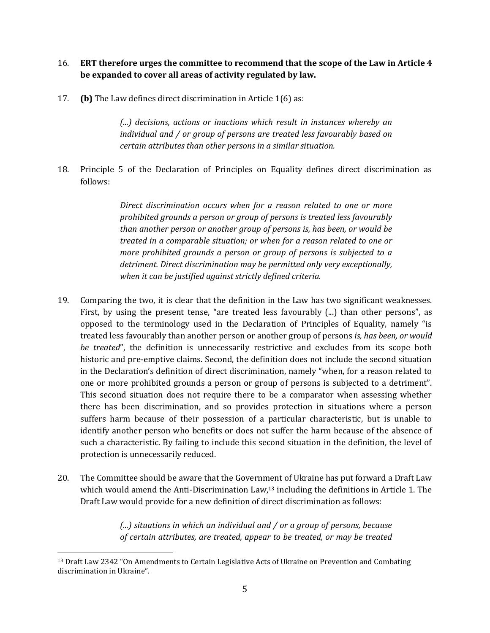## 16. **ERT therefore urges the committee to recommend that the scope of the Law in Article 4 be expanded to cover all areas of activity regulated by law.**

17. **(b)** The Law defines direct discrimination in Article 1(6) as:

*(...) decisions, actions or inactions which result in instances whereby an individual and / or group of persons are treated less favourably based on certain attributes than other persons in a similar situation.*

18. Principle 5 of the Declaration of Principles on Equality defines direct discrimination as follows:

> *Direct discrimination occurs when for a reason related to one or more prohibited grounds a person or group of persons is treated less favourably than another person or another group of persons is, has been, or would be treated in a comparable situation; or when for a reason related to one or more prohibited grounds a person or group of persons is subjected to a detriment. Direct discrimination may be permitted only very exceptionally, when it can be justified against strictly defined criteria.*

- 19. Comparing the two, it is clear that the definition in the Law has two significant weaknesses. First, by using the present tense, "are treated less favourably (...) than other persons", as opposed to the terminology used in the Declaration of Principles of Equality, namely "is treated less favourably than another person or another group of persons *is, has been, or would be treated*", the definition is unnecessarily restrictive and excludes from its scope both historic and pre-emptive claims. Second, the definition does not include the second situation in the Declaration's definition of direct discrimination, namely "when, for a reason related to one or more prohibited grounds a person or group of persons is subjected to a detriment". This second situation does not require there to be a comparator when assessing whether there has been discrimination, and so provides protection in situations where a person suffers harm because of their possession of a particular characteristic, but is unable to identify another person who benefits or does not suffer the harm because of the absence of such a characteristic. By failing to include this second situation in the definition, the level of protection is unnecessarily reduced.
- 20. The Committee should be aware that the Government of Ukraine has put forward a Draft Law which would amend the Anti-Discrimination Law,<sup>13</sup> including the definitions in Article 1. The Draft Law would provide for a new definition of direct discrimination as follows:

*(...) situations in which an individual and / or a group of persons, because of certain attributes, are treated, appear to be treated, or may be treated* 

<sup>&</sup>lt;sup>13</sup> Draft Law 2342 "On Amendments to Certain Legislative Acts of Ukraine on Prevention and Combating discrimination in Ukraine".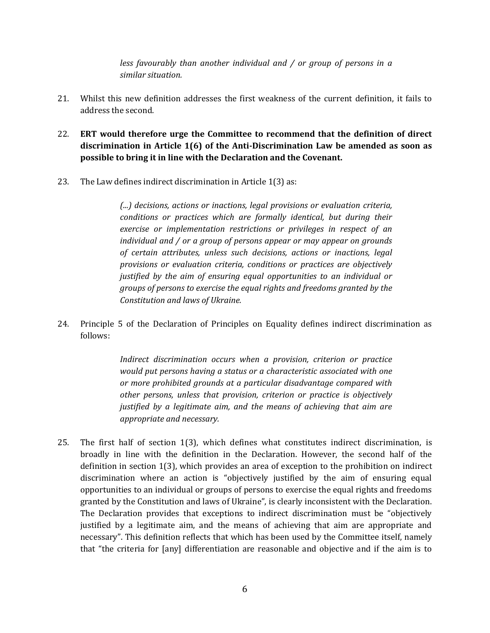*less favourably than another individual and / or group of persons in a similar situation.*

- 21. Whilst this new definition addresses the first weakness of the current definition, it fails to address the second.
- 22. **ERT would therefore urge the Committee to recommend that the definition of direct discrimination in Article 1(6) of the Anti-Discrimination Law be amended as soon as possible to bring it in line with the Declaration and the Covenant.**
- 23. The Law defines indirect discrimination in Article 1(3) as:

*(...) decisions, actions or inactions, legal provisions or evaluation criteria, conditions or practices which are formally identical, but during their exercise or implementation restrictions or privileges in respect of an individual and / or a group of persons appear or may appear on grounds of certain attributes, unless such decisions, actions or inactions, legal provisions or evaluation criteria, conditions or practices are objectively justified by the aim of ensuring equal opportunities to an individual or groups of persons to exercise the equal rights and freedoms granted by the Constitution and laws of Ukraine.*

24. Principle 5 of the Declaration of Principles on Equality defines indirect discrimination as follows:

> *Indirect discrimination occurs when a provision, criterion or practice would put persons having a status or a characteristic associated with one or more prohibited grounds at a particular disadvantage compared with other persons, unless that provision, criterion or practice is objectively justified by a legitimate aim, and the means of achieving that aim are appropriate and necessary.*

25. The first half of section 1(3), which defines what constitutes indirect discrimination, is broadly in line with the definition in the Declaration. However, the second half of the definition in section 1(3), which provides an area of exception to the prohibition on indirect discrimination where an action is "objectively justified by the aim of ensuring equal opportunities to an individual or groups of persons to exercise the equal rights and freedoms granted by the Constitution and laws of Ukraine", is clearly inconsistent with the Declaration. The Declaration provides that exceptions to indirect discrimination must be "objectively justified by a legitimate aim, and the means of achieving that aim are appropriate and necessary". This definition reflects that which has been used by the Committee itself, namely that "the criteria for [any] differentiation are reasonable and objective and if the aim is to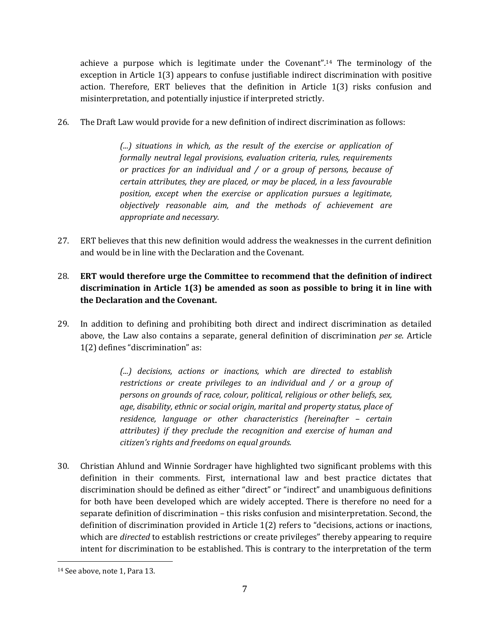achieve a purpose which is legitimate under the Covenant".<sup>14</sup> The terminology of the exception in Article 1(3) appears to confuse justifiable indirect discrimination with positive action. Therefore, ERT believes that the definition in Article 1(3) risks confusion and misinterpretation, and potentially injustice if interpreted strictly.

26. The Draft Law would provide for a new definition of indirect discrimination as follows:

*(...) situations in which, as the result of the exercise or application of formally neutral legal provisions, evaluation criteria, rules, requirements or practices for an individual and / or a group of persons, because of certain attributes, they are placed, or may be placed, in a less favourable position, except when the exercise or application pursues a legitimate, objectively reasonable aim, and the methods of achievement are appropriate and necessary.*

- 27. ERT believes that this new definition would address the weaknesses in the current definition and would be in line with the Declaration and the Covenant.
- 28. **ERT would therefore urge the Committee to recommend that the definition of indirect discrimination in Article 1(3) be amended as soon as possible to bring it in line with the Declaration and the Covenant.**
- 29. In addition to defining and prohibiting both direct and indirect discrimination as detailed above, the Law also contains a separate, general definition of discrimination *per se*. Article 1(2) defines "discrimination" as:

*(...) decisions, actions or inactions, which are directed to establish restrictions or create privileges to an individual and / or a group of persons on grounds of race, colour, political, religious or other beliefs, sex, age, disability, ethnic or social origin, marital and property status, place of residence, language or other characteristics (hereinafter – certain attributes) if they preclude the recognition and exercise of human and citizen's rights and freedoms on equal grounds.*

30. Christian Ahlund and Winnie Sordrager have highlighted two significant problems with this definition in their comments. First, international law and best practice dictates that discrimination should be defined as either "direct" or "indirect" and unambiguous definitions for both have been developed which are widely accepted. There is therefore no need for a separate definition of discrimination – this risks confusion and misinterpretation. Second, the definition of discrimination provided in Article 1(2) refers to "decisions, actions or inactions, which are *directed* to establish restrictions or create privileges" thereby appearing to require intent for discrimination to be established. This is contrary to the interpretation of the term

<sup>14</sup> See above, note 1, Para 13.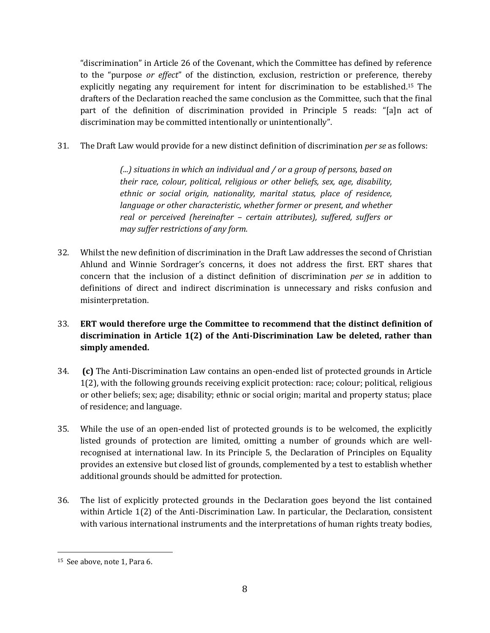"discrimination" in Article 26 of the Covenant, which the Committee has defined by reference to the "purpose *or effect*" of the distinction, exclusion, restriction or preference, thereby explicitly negating any requirement for intent for discrimination to be established. <sup>15</sup> The drafters of the Declaration reached the same conclusion as the Committee, such that the final part of the definition of discrimination provided in Principle 5 reads: "[a]n act of discrimination may be committed intentionally or unintentionally".

31. The Draft Law would provide for a new distinct definition of discrimination *per se* as follows:

*(...) situations in which an individual and / or a group of persons, based on their race, colour, political, religious or other beliefs, sex, age, disability, ethnic or social origin, nationality, marital status, place of residence, language or other characteristic, whether former or present, and whether real or perceived (hereinafter – certain attributes), suffered, suffers or may suffer restrictions of any form.*

- 32. Whilst the new definition of discrimination in the Draft Law addresses the second of Christian Ahlund and Winnie Sordrager's concerns, it does not address the first. ERT shares that concern that the inclusion of a distinct definition of discrimination *per se* in addition to definitions of direct and indirect discrimination is unnecessary and risks confusion and misinterpretation.
- 33. **ERT would therefore urge the Committee to recommend that the distinct definition of discrimination in Article 1(2) of the Anti-Discrimination Law be deleted, rather than simply amended.**
- 34. **(c)** The Anti-Discrimination Law contains an open-ended list of protected grounds in Article 1(2), with the following grounds receiving explicit protection: race; colour; political, religious or other beliefs; sex; age; disability; ethnic or social origin; marital and property status; place of residence; and language.
- 35. While the use of an open-ended list of protected grounds is to be welcomed, the explicitly listed grounds of protection are limited, omitting a number of grounds which are wellrecognised at international law. In its Principle 5, the Declaration of Principles on Equality provides an extensive but closed list of grounds, complemented by a test to establish whether additional grounds should be admitted for protection.
- 36. The list of explicitly protected grounds in the Declaration goes beyond the list contained within Article 1(2) of the Anti-Discrimination Law. In particular, the Declaration, consistent with various international instruments and the interpretations of human rights treaty bodies,

<sup>15</sup> See above, note 1, Para 6.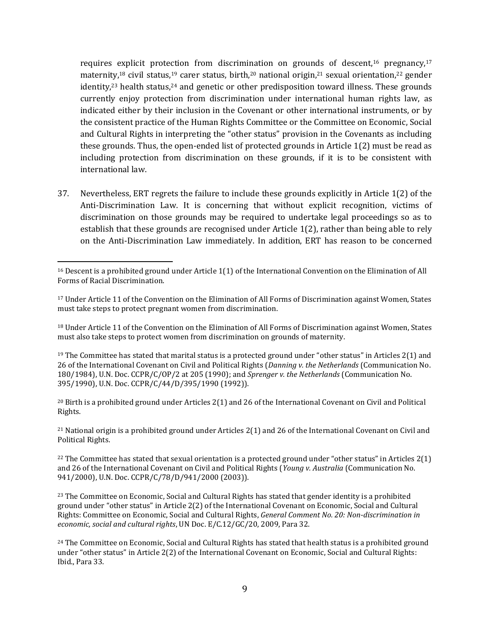requires explicit protection from discrimination on grounds of descent,<sup>16</sup> pregnancy,<sup>17</sup> maternity,<sup>18</sup> civil status,<sup>19</sup> carer status, birth,<sup>20</sup> national origin,<sup>21</sup> sexual orientation,<sup>22</sup> gender identity, $23$  health status, $24$  and genetic or other predisposition toward illness. These grounds currently enjoy protection from discrimination under international human rights law, as indicated either by their inclusion in the Covenant or other international instruments, or by the consistent practice of the Human Rights Committee or the Committee on Economic, Social and Cultural Rights in interpreting the "other status" provision in the Covenants as including these grounds. Thus, the open-ended list of protected grounds in Article 1(2) must be read as including protection from discrimination on these grounds, if it is to be consistent with international law.

37. Nevertheless, ERT regrets the failure to include these grounds explicitly in Article 1(2) of the Anti-Discrimination Law. It is concerning that without explicit recognition, victims of discrimination on those grounds may be required to undertake legal proceedings so as to establish that these grounds are recognised under Article 1(2), rather than being able to rely on the Anti-Discrimination Law immediately. In addition, ERT has reason to be concerned

 $\overline{a}$ 

<sup>18</sup> Under Article 11 of the Convention on the Elimination of All Forms of Discrimination against Women, States must also take steps to protect women from discrimination on grounds of maternity.

<sup>19</sup> The Committee has stated that marital status is a protected ground under "other status" in Articles 2(1) and 26 of the International Covenant on Civil and Political Rights (*Danning v. the Netherlands* (Communication No. 180/1984), U.N. Doc. CCPR/C/OP/2 at 205 (1990); and *Sprenger v. the Netherlands* (Communication No. 395/1990), U.N. Doc. CCPR/C/44/D/395/1990 (1992)).

<sup>20</sup> Birth is a prohibited ground under Articles 2(1) and 26 of the International Covenant on Civil and Political Rights.

<sup>21</sup> National origin is a prohibited ground under Articles 2(1) and 26 of the International Covenant on Civil and Political Rights.

<sup>22</sup> The Committee has stated that sexual orientation is a protected ground under "other status" in Articles  $2(1)$ and 26 of the International Covenant on Civil and Political Rights (*Young v. Australia* (Communication No. 941/2000), U.N. Doc. CCPR/C/78/D/941/2000 (2003)).

<sup>23</sup> The Committee on Economic, Social and Cultural Rights has stated that gender identity is a prohibited ground under "other status" in Article 2(2) of the International Covenant on Economic, Social and Cultural Rights: Committee on Economic, Social and Cultural Rights, *General Comment No. 20: Non-discrimination in economic, social and cultural rights*, UN Doc. E/C.12/GC/20, 2009, Para 32.

<sup>24</sup> The Committee on Economic, Social and Cultural Rights has stated that health status is a prohibited ground under "other status" in Article 2(2) of the International Covenant on Economic, Social and Cultural Rights: Ibid., Para 33.

<sup>16</sup> Descent is a prohibited ground under Article 1(1) of the International Convention on the Elimination of All Forms of Racial Discrimination.

<sup>17</sup> Under Article 11 of the Convention on the Elimination of All Forms of Discrimination against Women, States must take steps to protect pregnant women from discrimination.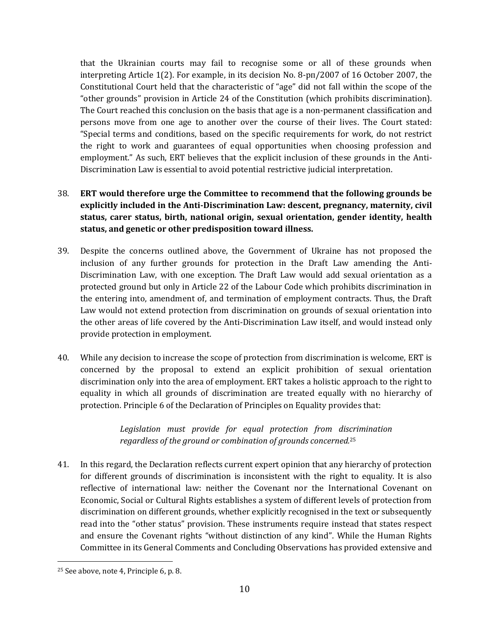that the Ukrainian courts may fail to recognise some or all of these grounds when interpreting Article 1(2). For example, in its decision No. 8-рп/2007 of 16 October 2007, the Constitutional Court held that the characteristic of "age" did not fall within the scope of the "other grounds" provision in Article 24 of the Constitution (which prohibits discrimination). The Court reached this conclusion on the basis that age is a non-permanent classification and persons move from one age to another over the course of their lives. The Court stated: "Special terms and conditions, based on the specific requirements for work, do not restrict the right to work and guarantees of equal opportunities when choosing profession and employment." As such, ERT believes that the explicit inclusion of these grounds in the Anti-Discrimination Law is essential to avoid potential restrictive judicial interpretation.

# 38. **ERT would therefore urge the Committee to recommend that the following grounds be explicitly included in the Anti-Discrimination Law: descent, pregnancy, maternity, civil status, carer status, birth, national origin, sexual orientation, gender identity, health status, and genetic or other predisposition toward illness.**

- 39. Despite the concerns outlined above, the Government of Ukraine has not proposed the inclusion of any further grounds for protection in the Draft Law amending the Anti-Discrimination Law, with one exception. The Draft Law would add sexual orientation as a protected ground but only in Article 22 of the Labour Code which prohibits discrimination in the entering into, amendment of, and termination of employment contracts. Thus, the Draft Law would not extend protection from discrimination on grounds of sexual orientation into the other areas of life covered by the Anti-Discrimination Law itself, and would instead only provide protection in employment.
- 40. While any decision to increase the scope of protection from discrimination is welcome, ERT is concerned by the proposal to extend an explicit prohibition of sexual orientation discrimination only into the area of employment. ERT takes a holistic approach to the right to equality in which all grounds of discrimination are treated equally with no hierarchy of protection. Principle 6 of the Declaration of Principles on Equality provides that:

*Legislation must provide for equal protection from discrimination regardless of the ground or combination of grounds concerned.*<sup>25</sup>

41. In this regard, the Declaration reflects current expert opinion that any hierarchy of protection for different grounds of discrimination is inconsistent with the right to equality. It is also reflective of international law: neither the Covenant nor the International Covenant on Economic, Social or Cultural Rights establishes a system of different levels of protection from discrimination on different grounds, whether explicitly recognised in the text or subsequently read into the "other status" provision. These instruments require instead that states respect and ensure the Covenant rights "without distinction of any kind". While the Human Rights Committee in its General Comments and Concluding Observations has provided extensive and

<sup>25</sup> See above, note 4, Principle 6, p. 8.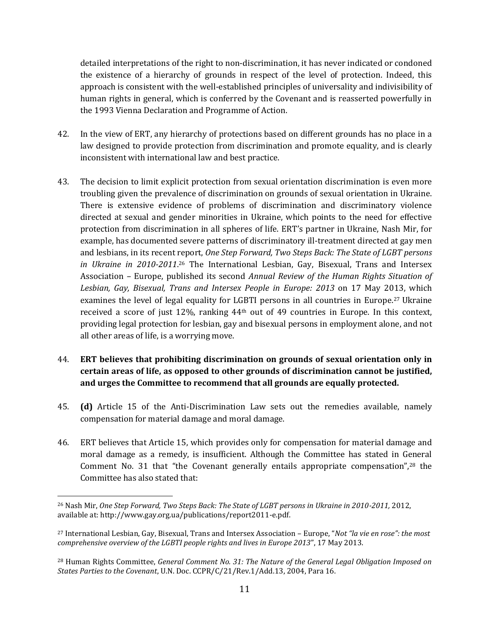detailed interpretations of the right to non-discrimination, it has never indicated or condoned the existence of a hierarchy of grounds in respect of the level of protection. Indeed, this approach is consistent with the well-established principles of universality and indivisibility of human rights in general, which is conferred by the Covenant and is reasserted powerfully in the 1993 Vienna Declaration and Programme of Action.

- 42. In the view of ERT, any hierarchy of protections based on different grounds has no place in a law designed to provide protection from discrimination and promote equality, and is clearly inconsistent with international law and best practice.
- 43. The decision to limit explicit protection from sexual orientation discrimination is even more troubling given the prevalence of discrimination on grounds of sexual orientation in Ukraine. There is extensive evidence of problems of discrimination and discriminatory violence directed at sexual and gender minorities in Ukraine, which points to the need for effective protection from discrimination in all spheres of life. ERT's partner in Ukraine, Nash Mir, for example, has documented severe patterns of discriminatory ill-treatment directed at gay men and lesbians, in its recent report, *One Step Forward, Two Steps Back: The State of LGBT persons*  in Ukraine in 2010-2011.<sup>26</sup> The International Lesbian, Gay, Bisexual, Trans and Intersex Association – Europe, published its second *Annual Review of the Human Rights Situation of Lesbian, Gay, Bisexual, Trans and Intersex People in Europe: 2013* on 17 May 2013, which examines the level of legal equality for LGBTI persons in all countries in Europe.<sup>27</sup> Ukraine received a score of just 12%, ranking 44th out of 49 countries in Europe. In this context, providing legal protection for lesbian, gay and bisexual persons in employment alone, and not all other areas of life, is a worrying move.
- 44. **ERT believes that prohibiting discrimination on grounds of sexual orientation only in certain areas of life, as opposed to other grounds of discrimination cannot be justified, and urges the Committee to recommend that all grounds are equally protected.**
- 45. **(d)** Article 15 of the Anti-Discrimination Law sets out the remedies available, namely compensation for material damage and moral damage.
- 46. ERT believes that Article 15, which provides only for compensation for material damage and moral damage as a remedy, is insufficient. Although the Committee has stated in General Comment No. 31 that "the Covenant generally entails appropriate compensation", <sup>28</sup> the Committee has also stated that:

<sup>26</sup> Nash Mir, *One Step Forward, Two Steps Back: The State of LGBT persons in Ukraine in 2010-2011,* 2012, available at: http://www.gay.org.ua/publications/report2011-e.pdf.

<sup>27</sup> International Lesbian, Gay, Bisexual, Trans and Intersex Association – Europe, "*Not "la vie en rose": the most comprehensive overview of the LGBTI people rights and lives in Europe 2013*", 17 May 2013.

<sup>28</sup> Human Rights Committee, *General Comment No. 31: The Nature of the General Legal Obligation Imposed on States Parties to the Covenant*, U.N. Doc. CCPR/C/21/Rev.1/Add.13, 2004, Para 16.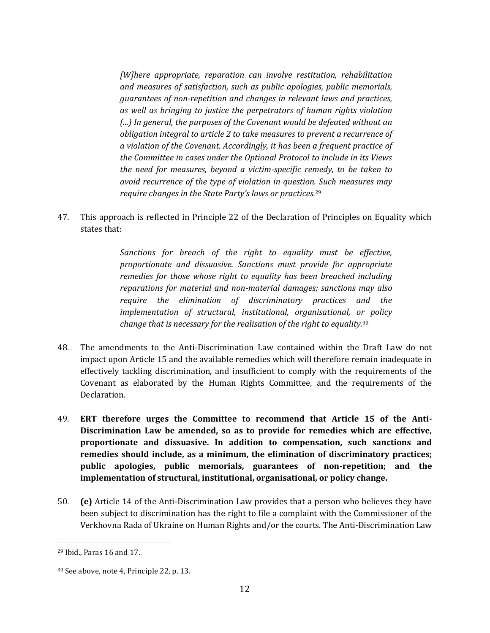*[W]here appropriate, reparation can involve restitution, rehabilitation and measures of satisfaction, such as public apologies, public memorials, guarantees of non-repetition and changes in relevant laws and practices, as well as bringing to justice the perpetrators of human rights violation (...) In general, the purposes of the Covenant would be defeated without an obligation integral to article 2 to take measures to prevent a recurrence of a violation of the Covenant. Accordingly, it has been a frequent practice of the Committee in cases under the Optional Protocol to include in its Views the need for measures, beyond a victim-specific remedy, to be taken to avoid recurrence of the type of violation in question. Such measures may require changes in the State Party's laws or practices.*<sup>29</sup>

47. This approach is reflected in Principle 22 of the Declaration of Principles on Equality which states that:

> *Sanctions for breach of the right to equality must be effective, proportionate and dissuasive. Sanctions must provide for appropriate remedies for those whose right to equality has been breached including reparations for material and non-material damages; sanctions may also require the elimination of discriminatory practices and the implementation of structural, institutional, organisational, or policy change that is necessary for the realisation of the right to equality.*<sup>30</sup>

- 48. The amendments to the Anti-Discrimination Law contained within the Draft Law do not impact upon Article 15 and the available remedies which will therefore remain inadequate in effectively tackling discrimination, and insufficient to comply with the requirements of the Covenant as elaborated by the Human Rights Committee, and the requirements of the Declaration.
- 49. **ERT therefore urges the Committee to recommend that Article 15 of the Anti-Discrimination Law be amended, so as to provide for remedies which are effective, proportionate and dissuasive. In addition to compensation, such sanctions and remedies should include, as a minimum, the elimination of discriminatory practices; public apologies, public memorials, guarantees of non-repetition; and the implementation of structural, institutional, organisational, or policy change.**
- 50. **(e)** Article 14 of the Anti-Discrimination Law provides that a person who believes they have been subject to discrimination has the right to file a complaint with the Commissioner of the Verkhovna Rada of Ukraine on Human Rights and/or the courts. The Anti-Discrimination Law

<sup>29</sup> Ibid., Paras 16 and 17.

<sup>30</sup> See above, note 4, Principle 22, p. 13.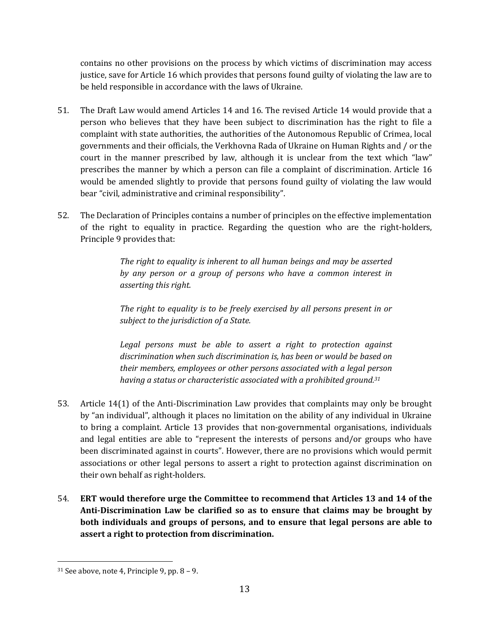contains no other provisions on the process by which victims of discrimination may access justice, save for Article 16 which provides that persons found guilty of violating the law are to be held responsible in accordance with the laws of Ukraine.

- 51. The Draft Law would amend Articles 14 and 16. The revised Article 14 would provide that a person who believes that they have been subject to discrimination has the right to file a complaint with state authorities, the authorities of the Autonomous Republic of Crimea, local governments and their officials, the Verkhovna Rada of Ukraine on Human Rights and / or the court in the manner prescribed by law, although it is unclear from the text which "law" prescribes the manner by which a person can file a complaint of discrimination. Article 16 would be amended slightly to provide that persons found guilty of violating the law would bear "civil, administrative and criminal responsibility".
- 52. The Declaration of Principles contains a number of principles on the effective implementation of the right to equality in practice. Regarding the question who are the right-holders, Principle 9 provides that:

*The right to equality is inherent to all human beings and may be asserted by any person or a group of persons who have a common interest in asserting this right.*

*The right to equality is to be freely exercised by all persons present in or subject to the jurisdiction of a State.*

*Legal persons must be able to assert a right to protection against discrimination when such discrimination is, has been or would be based on their members, employees or other persons associated with a legal person having a status or characteristic associated with a prohibited ground.<sup>31</sup>*

- 53. Article 14(1) of the Anti-Discrimination Law provides that complaints may only be brought by "an individual", although it places no limitation on the ability of any individual in Ukraine to bring a complaint. Article 13 provides that non-governmental organisations, individuals and legal entities are able to "represent the interests of persons and/or groups who have been discriminated against in courts". However, there are no provisions which would permit associations or other legal persons to assert a right to protection against discrimination on their own behalf as right-holders.
- 54. **ERT would therefore urge the Committee to recommend that Articles 13 and 14 of the Anti-Discrimination Law be clarified so as to ensure that claims may be brought by both individuals and groups of persons, and to ensure that legal persons are able to assert a right to protection from discrimination.**

 $31$  See above, note 4, Principle 9, pp.  $8 - 9$ .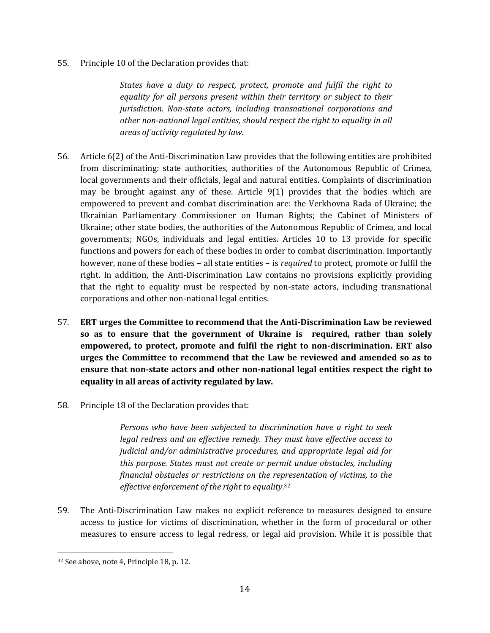55. Principle 10 of the Declaration provides that:

*States have a duty to respect, protect, promote and fulfil the right to equality for all persons present within their territory or subject to their jurisdiction. Non-state actors, including transnational corporations and other non-national legal entities, should respect the right to equality in all areas of activity regulated by law.*

- 56. Article 6(2) of the Anti-Discrimination Law provides that the following entities are prohibited from discriminating: state authorities, authorities of the Autonomous Republic of Crimea, local governments and their officials, legal and natural entities. Complaints of discrimination may be brought against any of these. Article 9(1) provides that the bodies which are empowered to prevent and combat discrimination are: the Verkhovna Rada of Ukraine; the Ukrainian Parliamentary Commissioner on Human Rights; the Cabinet of Ministers of Ukraine; other state bodies, the authorities of the Autonomous Republic of Crimea, and local governments; NGOs, individuals and legal entities. Articles 10 to 13 provide for specific functions and powers for each of these bodies in order to combat discrimination. Importantly however, none of these bodies – all state entities – is *required* to protect, promote or fulfil the right. In addition, the Anti-Discrimination Law contains no provisions explicitly providing that the right to equality must be respected by non-state actors, including transnational corporations and other non-national legal entities.
- 57. **ERT urges the Committee to recommend that the Anti-Discrimination Law be reviewed so as to ensure that the government of Ukraine is required, rather than solely empowered, to protect, promote and fulfil the right to non-discrimination. ERT also urges the Committee to recommend that the Law be reviewed and amended so as to ensure that non-state actors and other non-national legal entities respect the right to equality in all areas of activity regulated by law.**
- 58. Principle 18 of the Declaration provides that:

*Persons who have been subjected to discrimination have a right to seek legal redress and an effective remedy. They must have effective access to judicial and/or administrative procedures, and appropriate legal aid for this purpose. States must not create or permit undue obstacles, including financial obstacles or restrictions on the representation of victims, to the effective enforcement of the right to equality.*<sup>32</sup>

59. The Anti-Discrimination Law makes no explicit reference to measures designed to ensure access to justice for victims of discrimination, whether in the form of procedural or other measures to ensure access to legal redress, or legal aid provision. While it is possible that

<sup>32</sup> See above, note 4, Principle 18, p. 12.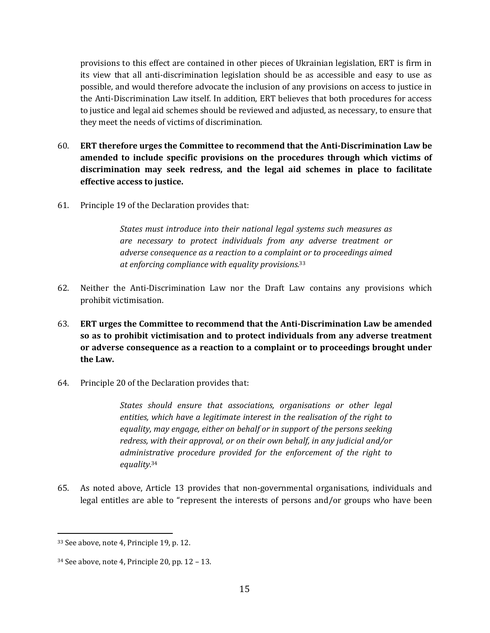provisions to this effect are contained in other pieces of Ukrainian legislation, ERT is firm in its view that all anti-discrimination legislation should be as accessible and easy to use as possible, and would therefore advocate the inclusion of any provisions on access to justice in the Anti-Discrimination Law itself. In addition, ERT believes that both procedures for access to justice and legal aid schemes should be reviewed and adjusted, as necessary, to ensure that they meet the needs of victims of discrimination.

- 60. **ERT therefore urges the Committee to recommend that the Anti-Discrimination Law be amended to include specific provisions on the procedures through which victims of discrimination may seek redress, and the legal aid schemes in place to facilitate effective access to justice.**
- 61. Principle 19 of the Declaration provides that:

*States must introduce into their national legal systems such measures as are necessary to protect individuals from any adverse treatment or adverse consequence as a reaction to a complaint or to proceedings aimed at enforcing compliance with equality provisions.*<sup>33</sup>

- 62. Neither the Anti-Discrimination Law nor the Draft Law contains any provisions which prohibit victimisation.
- 63. **ERT urges the Committee to recommend that the Anti-Discrimination Law be amended so as to prohibit victimisation and to protect individuals from any adverse treatment or adverse consequence as a reaction to a complaint or to proceedings brought under the Law.**
- 64. Principle 20 of the Declaration provides that:

*States should ensure that associations, organisations or other legal entities, which have a legitimate interest in the realisation of the right to equality, may engage, either on behalf or in support of the persons seeking redress, with their approval, or on their own behalf, in any judicial and/or administrative procedure provided for the enforcement of the right to equality.*<sup>34</sup>

65. As noted above, Article 13 provides that non-governmental organisations, individuals and legal entitles are able to "represent the interests of persons and/or groups who have been

 $\overline{a}$ <sup>33</sup> See above, note 4, Principle 19, p. 12.

<sup>34</sup> See above, note 4, Principle 20, pp. 12 – 13.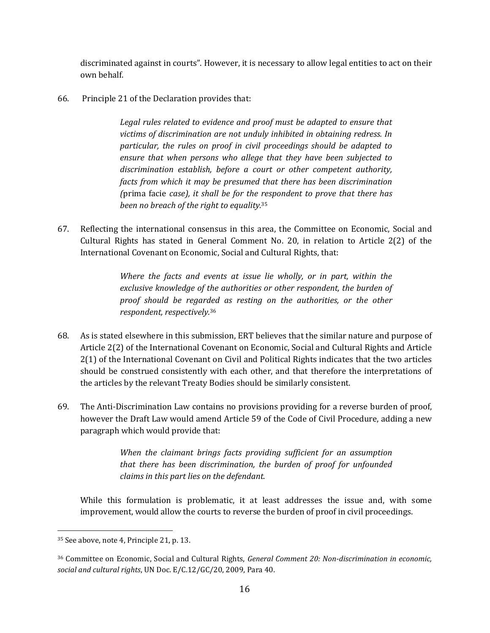discriminated against in courts". However, it is necessary to allow legal entities to act on their own behalf.

66. Principle 21 of the Declaration provides that:

*Legal rules related to evidence and proof must be adapted to ensure that victims of discrimination are not unduly inhibited in obtaining redress. In particular, the rules on proof in civil proceedings should be adapted to ensure that when persons who allege that they have been subjected to discrimination establish, before a court or other competent authority, facts from which it may be presumed that there has been discrimination (*prima facie *case), it shall be for the respondent to prove that there has been no breach of the right to equality.*<sup>35</sup>

67. Reflecting the international consensus in this area, the Committee on Economic, Social and Cultural Rights has stated in General Comment No. 20, in relation to Article 2(2) of the International Covenant on Economic, Social and Cultural Rights, that:

> *Where the facts and events at issue lie wholly, or in part, within the exclusive knowledge of the authorities or other respondent, the burden of proof should be regarded as resting on the authorities, or the other respondent, respectively.* 36

- 68. As is stated elsewhere in this submission, ERT believes that the similar nature and purpose of Article 2(2) of the International Covenant on Economic, Social and Cultural Rights and Article 2(1) of the International Covenant on Civil and Political Rights indicates that the two articles should be construed consistently with each other, and that therefore the interpretations of the articles by the relevant Treaty Bodies should be similarly consistent.
- 69. The Anti-Discrimination Law contains no provisions providing for a reverse burden of proof, however the Draft Law would amend Article 59 of the Code of Civil Procedure, adding a new paragraph which would provide that:

*When the claimant brings facts providing sufficient for an assumption that there has been discrimination, the burden of proof for unfounded claims in this part lies on the defendant.*

While this formulation is problematic, it at least addresses the issue and, with some improvement, would allow the courts to reverse the burden of proof in civil proceedings.

<sup>35</sup> See above, note 4, Principle 21, p. 13.

<sup>36</sup> Committee on Economic, Social and Cultural Rights, *General Comment 20: Non-discrimination in economic, social and cultural rights*, UN Doc. E/C.12/GC/20, 2009, Para 40.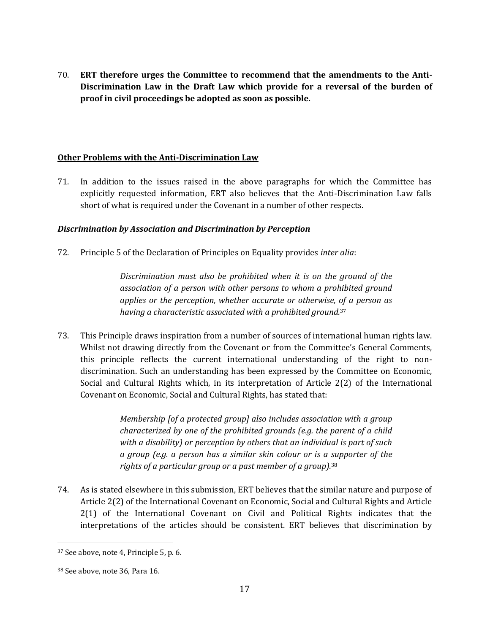70. **ERT therefore urges the Committee to recommend that the amendments to the Anti-Discrimination Law in the Draft Law which provide for a reversal of the burden of proof in civil proceedings be adopted as soon as possible.**

### **Other Problems with the Anti-Discrimination Law**

71. In addition to the issues raised in the above paragraphs for which the Committee has explicitly requested information, ERT also believes that the Anti-Discrimination Law falls short of what is required under the Covenant in a number of other respects.

## *Discrimination by Association and Discrimination by Perception*

72. Principle 5 of the Declaration of Principles on Equality provides *inter alia*:

*Discrimination must also be prohibited when it is on the ground of the association of a person with other persons to whom a prohibited ground applies or the perception, whether accurate or otherwise, of a person as having a characteristic associated with a prohibited ground.*<sup>37</sup>

73. This Principle draws inspiration from a number of sources of international human rights law. Whilst not drawing directly from the Covenant or from the Committee's General Comments, this principle reflects the current international understanding of the right to nondiscrimination. Such an understanding has been expressed by the Committee on Economic, Social and Cultural Rights which, in its interpretation of Article 2(2) of the International Covenant on Economic, Social and Cultural Rights, has stated that:

> *Membership [of a protected group] also includes association with a group characterized by one of the prohibited grounds (e.g. the parent of a child with a disability) or perception by others that an individual is part of such a group (e.g. a person has a similar skin colour or is a supporter of the rights of a particular group or a past member of a group).*<sup>38</sup>

74. As is stated elsewhere in this submission, ERT believes that the similar nature and purpose of Article 2(2) of the International Covenant on Economic, Social and Cultural Rights and Article 2(1) of the International Covenant on Civil and Political Rights indicates that the interpretations of the articles should be consistent. ERT believes that discrimination by

<sup>37</sup> See above, note 4, Principle 5, p. 6.

<sup>38</sup> See above, note 36, Para 16.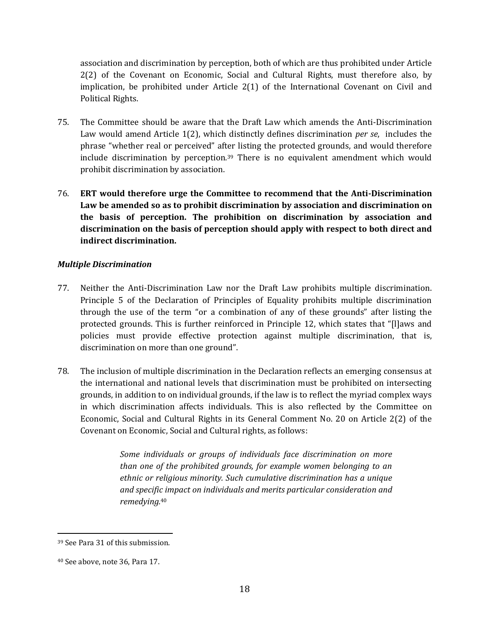association and discrimination by perception, both of which are thus prohibited under Article 2(2) of the Covenant on Economic, Social and Cultural Rights, must therefore also, by implication, be prohibited under Article 2(1) of the International Covenant on Civil and Political Rights.

- 75. The Committee should be aware that the Draft Law which amends the Anti-Discrimination Law would amend Article 1(2), which distinctly defines discrimination *per se*, includes the phrase "whether real or perceived" after listing the protected grounds, and would therefore include discrimination by perception.<sup>39</sup> There is no equivalent amendment which would prohibit discrimination by association.
- 76. **ERT would therefore urge the Committee to recommend that the Anti-Discrimination Law be amended so as to prohibit discrimination by association and discrimination on the basis of perception. The prohibition on discrimination by association and discrimination on the basis of perception should apply with respect to both direct and indirect discrimination.**

## *Multiple Discrimination*

- 77. Neither the Anti-Discrimination Law nor the Draft Law prohibits multiple discrimination. Principle 5 of the Declaration of Principles of Equality prohibits multiple discrimination through the use of the term "or a combination of any of these grounds" after listing the protected grounds. This is further reinforced in Principle 12, which states that "[l]aws and policies must provide effective protection against multiple discrimination, that is, discrimination on more than one ground".
- 78. The inclusion of multiple discrimination in the Declaration reflects an emerging consensus at the international and national levels that discrimination must be prohibited on intersecting grounds, in addition to on individual grounds, if the law is to reflect the myriad complex ways in which discrimination affects individuals. This is also reflected by the Committee on Economic, Social and Cultural Rights in its General Comment No. 20 on Article 2(2) of the Covenant on Economic, Social and Cultural rights, as follows:

*Some individuals or groups of individuals face discrimination on more than one of the prohibited grounds, for example women belonging to an ethnic or religious minority. Such cumulative discrimination has a unique and specific impact on individuals and merits particular consideration and remedying.* 40

<sup>39</sup> See Para 31 of this submission.

<sup>40</sup> See above, note 36, Para 17.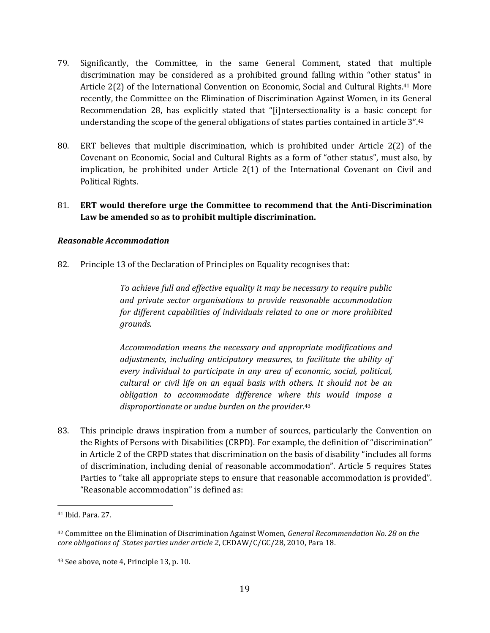- 79. Significantly, the Committee, in the same General Comment, stated that multiple discrimination may be considered as a prohibited ground falling within "other status" in Article 2(2) of the International Convention on Economic, Social and Cultural Rights.<sup>41</sup> More recently, the Committee on the Elimination of Discrimination Against Women, in its General Recommendation 28, has explicitly stated that "[i]ntersectionality is a basic concept for understanding the scope of the general obligations of states parties contained in article 3".<sup>42</sup>
- 80. ERT believes that multiple discrimination, which is prohibited under Article 2(2) of the Covenant on Economic, Social and Cultural Rights as a form of "other status", must also, by implication, be prohibited under Article 2(1) of the International Covenant on Civil and Political Rights.

## 81. **ERT would therefore urge the Committee to recommend that the Anti-Discrimination Law be amended so as to prohibit multiple discrimination.**

### *Reasonable Accommodation*

82. Principle 13 of the Declaration of Principles on Equality recognises that:

*To achieve full and effective equality it may be necessary to require public and private sector organisations to provide reasonable accommodation for different capabilities of individuals related to one or more prohibited grounds.*

*Accommodation means the necessary and appropriate modifications and adjustments, including anticipatory measures, to facilitate the ability of every individual to participate in any area of economic, social, political, cultural or civil life on an equal basis with others. It should not be an obligation to accommodate difference where this would impose a disproportionate or undue burden on the provider.*<sup>43</sup>

83. This principle draws inspiration from a number of sources, particularly the Convention on the Rights of Persons with Disabilities (CRPD). For example, the definition of "discrimination" in Article 2 of the CRPD states that discrimination on the basis of disability "includes all forms of discrimination, including denial of reasonable accommodation". Article 5 requires States Parties to "take all appropriate steps to ensure that reasonable accommodation is provided". "Reasonable accommodation" is defined as:

<sup>41</sup> Ibid. Para. 27.

<sup>42</sup> Committee on the Elimination of Discrimination Against Women, *General Recommendation No. 28 on the core obligations of States parties under article 2*, CEDAW/C/GC/28, 2010, Para 18.

<sup>43</sup> See above, note 4, Principle 13, p. 10.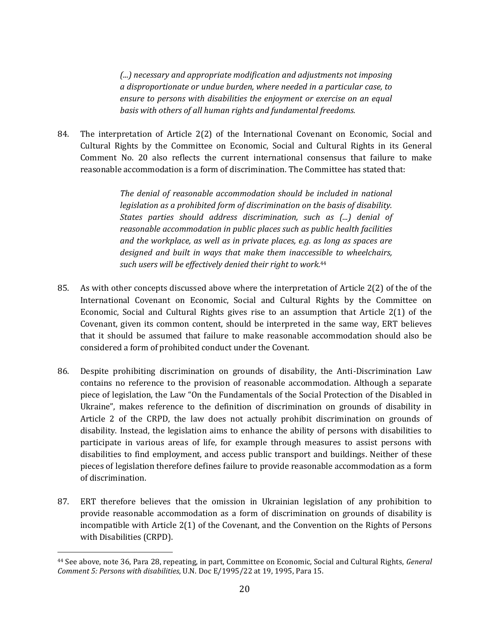*(...) necessary and appropriate modification and adjustments not imposing a disproportionate or undue burden, where needed in a particular case, to ensure to persons with disabilities the enjoyment or exercise on an equal basis with others of all human rights and fundamental freedoms.*

84. The interpretation of Article 2(2) of the International Covenant on Economic, Social and Cultural Rights by the Committee on Economic, Social and Cultural Rights in its General Comment No. 20 also reflects the current international consensus that failure to make reasonable accommodation is a form of discrimination. The Committee has stated that:

> *The denial of reasonable accommodation should be included in national legislation as a prohibited form of discrimination on the basis of disability. States parties should address discrimination, such as (...) denial of reasonable accommodation in public places such as public health facilities and the workplace, as well as in private places, e.g. as long as spaces are designed and built in ways that make them inaccessible to wheelchairs, such users will be effectively denied their right to work.* 44

- 85. As with other concepts discussed above where the interpretation of Article 2(2) of the of the International Covenant on Economic, Social and Cultural Rights by the Committee on Economic, Social and Cultural Rights gives rise to an assumption that Article 2(1) of the Covenant, given its common content, should be interpreted in the same way, ERT believes that it should be assumed that failure to make reasonable accommodation should also be considered a form of prohibited conduct under the Covenant.
- 86. Despite prohibiting discrimination on grounds of disability, the Anti-Discrimination Law contains no reference to the provision of reasonable accommodation. Although a separate piece of legislation, the Law "On the Fundamentals of the Social Protection of the Disabled in Ukraine", makes reference to the definition of discrimination on grounds of disability in Article 2 of the CRPD, the law does not actually prohibit discrimination on grounds of disability. Instead, the legislation aims to enhance the ability of persons with disabilities to participate in various areas of life, for example through measures to assist persons with disabilities to find employment, and access public transport and buildings. Neither of these pieces of legislation therefore defines failure to provide reasonable accommodation as a form of discrimination.
- 87. ERT therefore believes that the omission in Ukrainian legislation of any prohibition to provide reasonable accommodation as a form of discrimination on grounds of disability is incompatible with Article 2(1) of the Covenant, and the Convention on the Rights of Persons with Disabilities (CRPD).

<sup>44</sup> See above, note 36, Para 28, repeating, in part, Committee on Economic, Social and Cultural Rights, *General Comment 5: Persons with disabilities*, U.N. Doc E/1995/22 at 19, 1995, Para 15.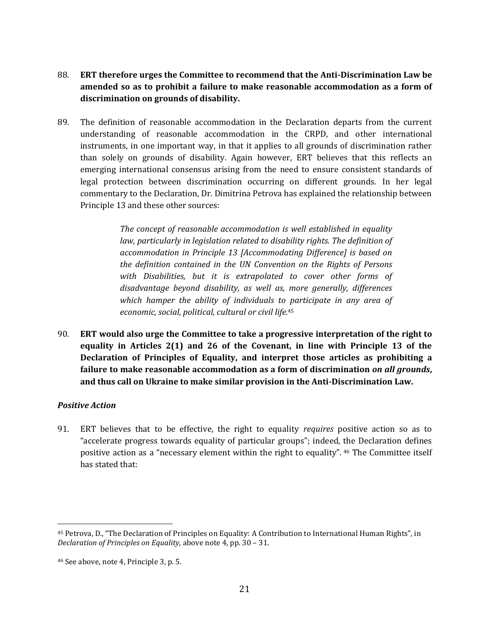- 88. **ERT therefore urges the Committee to recommend that the Anti-Discrimination Law be amended so as to prohibit a failure to make reasonable accommodation as a form of discrimination on grounds of disability.**
- 89. The definition of reasonable accommodation in the Declaration departs from the current understanding of reasonable accommodation in the CRPD, and other international instruments, in one important way, in that it applies to all grounds of discrimination rather than solely on grounds of disability. Again however, ERT believes that this reflects an emerging international consensus arising from the need to ensure consistent standards of legal protection between discrimination occurring on different grounds. In her legal commentary to the Declaration, Dr. Dimitrina Petrova has explained the relationship between Principle 13 and these other sources:

*The concept of reasonable accommodation is well established in equality law, particularly in legislation related to disability rights. The definition of accommodation in Principle 13 [Accommodating Difference] is based on the definition contained in the UN Convention on the Rights of Persons with Disabilities, but it is extrapolated to cover other forms of disadvantage beyond disability, as well as, more generally, differences which hamper the ability of individuals to participate in any area of economic, social, political, cultural or civil life.* 45

90. **ERT would also urge the Committee to take a progressive interpretation of the right to equality in Articles 2(1) and 26 of the Covenant, in line with Principle 13 of the Declaration of Principles of Equality, and interpret those articles as prohibiting a failure to make reasonable accommodation as a form of discrimination** *on all grounds***, and thus call on Ukraine to make similar provision in the Anti-Discrimination Law.** 

### *Positive Action*

 $\overline{a}$ 

91. ERT believes that to be effective, the right to equality *requires* positive action so as to "accelerate progress towards equality of particular groups"; indeed, the Declaration defines positive action as a "necessary element within the right to equality". <sup>46</sup> The Committee itself has stated that:

<sup>45</sup> Petrova, D., "The Declaration of Principles on Equality: A Contribution to International Human Rights", in *Declaration of Principles on Equality*, above note 4, pp. 30 – 31.

<sup>46</sup> See above, note 4, Principle 3, p. 5.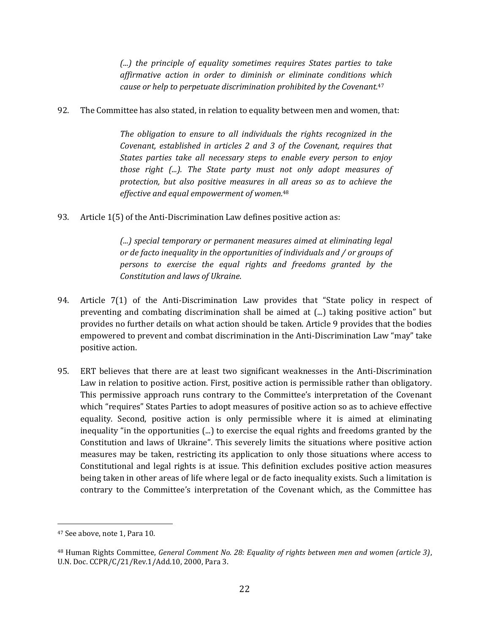*(...) the principle of equality sometimes requires States parties to take affirmative action in order to diminish or eliminate conditions which cause or help to perpetuate discrimination prohibited by the Covenant.*<sup>47</sup>

92. The Committee has also stated, in relation to equality between men and women, that:

*The obligation to ensure to all individuals the rights recognized in the Covenant, established in articles 2 and 3 of the Covenant, requires that States parties take all necessary steps to enable every person to enjoy those right (...). The State party must not only adopt measures of protection, but also positive measures in all areas so as to achieve the effective and equal empowerment of women.*<sup>48</sup>

93. Article 1(5) of the Anti-Discrimination Law defines positive action as:

*(...) special temporary or permanent measures aimed at eliminating legal or de facto inequality in the opportunities of individuals and / or groups of persons to exercise the equal rights and freedoms granted by the Constitution and laws of Ukraine*.

- 94. Article 7(1) of the Anti-Discrimination Law provides that "State policy in respect of preventing and combating discrimination shall be aimed at (...) taking positive action" but provides no further details on what action should be taken. Article 9 provides that the bodies empowered to prevent and combat discrimination in the Anti-Discrimination Law "may" take positive action.
- 95. ERT believes that there are at least two significant weaknesses in the Anti-Discrimination Law in relation to positive action. First, positive action is permissible rather than obligatory. This permissive approach runs contrary to the Committee's interpretation of the Covenant which "requires" States Parties to adopt measures of positive action so as to achieve effective equality. Second, positive action is only permissible where it is aimed at eliminating inequality "in the opportunities (...) to exercise the equal rights and freedoms granted by the Constitution and laws of Ukraine". This severely limits the situations where positive action measures may be taken, restricting its application to only those situations where access to Constitutional and legal rights is at issue. This definition excludes positive action measures being taken in other areas of life where legal or de facto inequality exists. Such a limitation is contrary to the Committee's interpretation of the Covenant which, as the Committee has

<sup>47</sup> See above, note 1, Para 10.

<sup>48</sup> Human Rights Committee, *General Comment No. 28: Equality of rights between men and women (article 3)*, U.N. Doc. CCPR/C/21/Rev.1/Add.10, 2000, Para 3.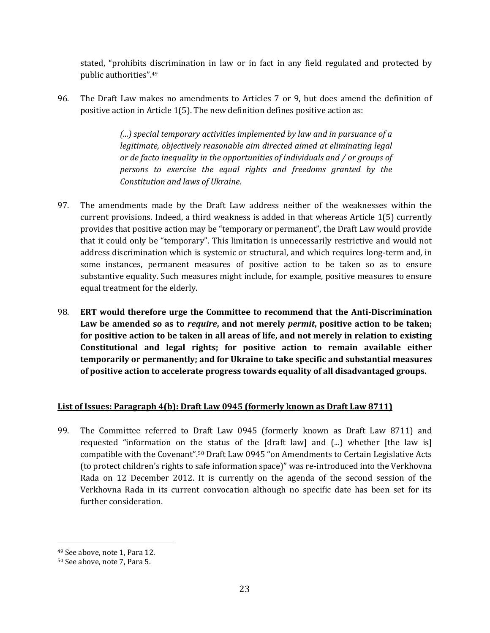stated, "prohibits discrimination in law or in fact in any field regulated and protected by public authorities".<sup>49</sup>

96. The Draft Law makes no amendments to Articles 7 or 9, but does amend the definition of positive action in Article 1(5). The new definition defines positive action as:

> *(...) special temporary activities implemented by law and in pursuance of a legitimate, objectively reasonable aim directed aimed at eliminating legal or de facto inequality in the opportunities of individuals and / or groups of persons to exercise the equal rights and freedoms granted by the Constitution and laws of Ukraine.*

- 97. The amendments made by the Draft Law address neither of the weaknesses within the current provisions. Indeed, a third weakness is added in that whereas Article 1(5) currently provides that positive action may be "temporary or permanent", the Draft Law would provide that it could only be "temporary". This limitation is unnecessarily restrictive and would not address discrimination which is systemic or structural, and which requires long-term and, in some instances, permanent measures of positive action to be taken so as to ensure substantive equality. Such measures might include, for example, positive measures to ensure equal treatment for the elderly.
- 98. **ERT would therefore urge the Committee to recommend that the Anti-Discrimination Law be amended so as to** *require***, and not merely** *permit***, positive action to be taken; for positive action to be taken in all areas of life, and not merely in relation to existing Constitutional and legal rights; for positive action to remain available either temporarily or permanently; and for Ukraine to take specific and substantial measures of positive action to accelerate progress towards equality of all disadvantaged groups.**

## **List of Issues: Paragraph 4(b): Draft Law 0945 (formerly known as Draft Law 8711)**

99. The Committee referred to Draft Law 0945 (formerly known as Draft Law 8711) and requested "information on the status of the [draft law] and (...) whether [the law is] compatible with the Covenant". <sup>50</sup> Draft Law 0945 "on Amendments to Certain Legislative Acts (to protect children's rights to safe information space)" was re-introduced into the Verkhovna Rada on 12 December 2012. It is currently on the agenda of the second session of the Verkhovna Rada in its current convocation although no specific date has been set for its further consideration.

<sup>49</sup> See above, note 1, Para 12.

<sup>50</sup> See above, note 7, Para 5.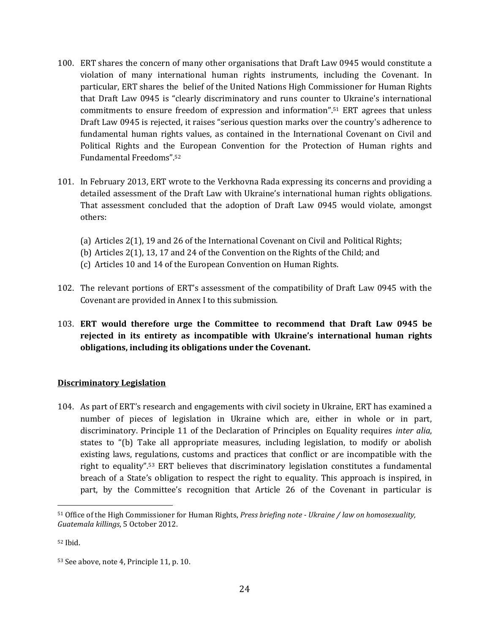- 100. ERT shares the concern of many other organisations that Draft Law 0945 would constitute a violation of many international human rights instruments, including the Covenant. In particular, ERT shares the belief of the United Nations High Commissioner for Human Rights that Draft Law 0945 is "clearly discriminatory and runs counter to Ukraine's international commitments to ensure freedom of expression and information".<sup>51</sup> ERT agrees that unless Draft Law 0945 is rejected, it raises "serious question marks over the country's adherence to fundamental human rights values, as contained in the International Covenant on Civil and Political Rights and the European Convention for the Protection of Human rights and Fundamental Freedoms".<sup>52</sup>
- 101. In February 2013, ERT wrote to the Verkhovna Rada expressing its concerns and providing a detailed assessment of the Draft Law with Ukraine's international human rights obligations. That assessment concluded that the adoption of Draft Law 0945 would violate, amongst others:
	- (a) Articles 2(1), 19 and 26 of the International Covenant on Civil and Political Rights;
	- (b) Articles 2(1), 13, 17 and 24 of the Convention on the Rights of the Child; and
	- (c) Articles 10 and 14 of the European Convention on Human Rights.
- 102. The relevant portions of ERT's assessment of the compatibility of Draft Law 0945 with the Covenant are provided in Annex I to this submission.
- 103. **ERT would therefore urge the Committee to recommend that Draft Law 0945 be rejected in its entirety as incompatible with Ukraine's international human rights obligations, including its obligations under the Covenant.**

#### **Discriminatory Legislation**

104. As part of ERT's research and engagements with civil society in Ukraine, ERT has examined a number of pieces of legislation in Ukraine which are, either in whole or in part, discriminatory. Principle 11 of the Declaration of Principles on Equality requires *inter alia*, states to "(b) Take all appropriate measures, including legislation, to modify or abolish existing laws, regulations, customs and practices that conflict or are incompatible with the right to equality".<sup>53</sup> ERT believes that discriminatory legislation constitutes a fundamental breach of a State's obligation to respect the right to equality. This approach is inspired, in part, by the Committee's recognition that Article 26 of the Covenant in particular is

<sup>51</sup> Office of the High Commissioner for Human Rights, *Press briefing note - Ukraine / law on homosexuality, Guatemala killings*, 5 October 2012.

<sup>52</sup> Ibid.

<sup>53</sup> See above, note 4, Principle 11, p. 10.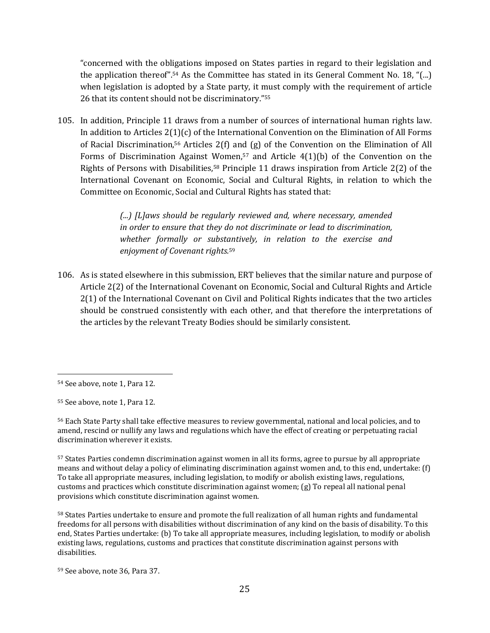"concerned with the obligations imposed on States parties in regard to their legislation and the application thereof".<sup>54</sup> As the Committee has stated in its General Comment No. 18, " $\ldots$ ) when legislation is adopted by a State party, it must comply with the requirement of article 26 that its content should not be discriminatory." 55

105. In addition, Principle 11 draws from a number of sources of international human rights law. In addition to Articles 2(1)(c) of the International Convention on the Elimination of All Forms of Racial Discrimination,<sup>56</sup> Articles 2(f) and (g) of the Convention on the Elimination of All Forms of Discrimination Against Women,<sup>57</sup> and Article 4(1)(b) of the Convention on the Rights of Persons with Disabilities,<sup>58</sup> Principle 11 draws inspiration from Article 2(2) of the International Covenant on Economic, Social and Cultural Rights, in relation to which the Committee on Economic, Social and Cultural Rights has stated that:

> *(...) [L]aws should be regularly reviewed and, where necessary, amended in order to ensure that they do not discriminate or lead to discrimination, whether formally or substantively, in relation to the exercise and enjoyment of Covenant rights.*<sup>59</sup>

106. As is stated elsewhere in this submission, ERT believes that the similar nature and purpose of Article 2(2) of the International Covenant on Economic, Social and Cultural Rights and Article 2(1) of the International Covenant on Civil and Political Rights indicates that the two articles should be construed consistently with each other, and that therefore the interpretations of the articles by the relevant Treaty Bodies should be similarly consistent.

 $\overline{a}$ 

<sup>58</sup> States Parties undertake to ensure and promote the full realization of all human rights and fundamental freedoms for all persons with disabilities without discrimination of any kind on the basis of disability. To this end, States Parties undertake: (b) To take all appropriate measures, including legislation, to modify or abolish existing laws, regulations, customs and practices that constitute discrimination against persons with disabilities.

<sup>54</sup> See above, note 1, Para 12.

<sup>55</sup> See above, note 1, Para 12.

<sup>56</sup> Each State Party shall take effective measures to review governmental, national and local policies, and to amend, rescind or nullify any laws and regulations which have the effect of creating or perpetuating racial discrimination wherever it exists.

<sup>57</sup> States Parties condemn discrimination against women in all its forms, agree to pursue by all appropriate means and without delay a policy of eliminating discrimination against women and, to this end, undertake: (f) To take all appropriate measures, including legislation, to modify or abolish existing laws, regulations, customs and practices which constitute discrimination against women; (g) To repeal all national penal provisions which constitute discrimination against women.

<sup>59</sup> See above, note 36, Para 37.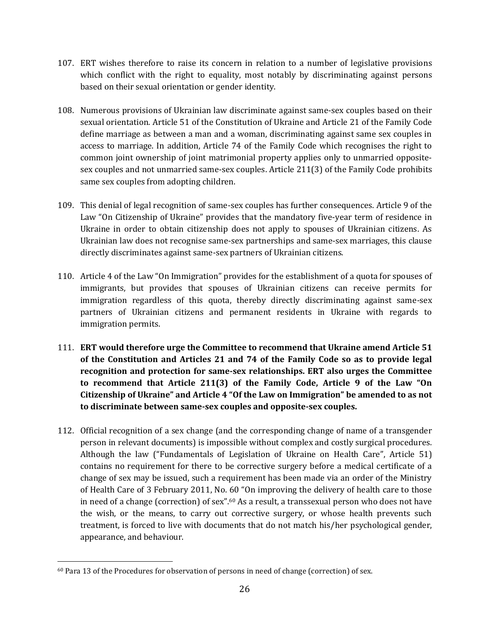- 107. ERT wishes therefore to raise its concern in relation to a number of legislative provisions which conflict with the right to equality, most notably by discriminating against persons based on their sexual orientation or gender identity.
- 108. Numerous provisions of Ukrainian law discriminate against same-sex couples based on their sexual orientation. Article 51 of the Constitution of Ukraine and Article 21 of the Family Code define marriage as between a man and a woman, discriminating against same sex couples in access to marriage. In addition, Article 74 of the Family Code which recognises the right to common joint ownership of joint matrimonial property applies only to unmarried oppositesex couples and not unmarried same-sex couples. Article 211(3) of the Family Code prohibits same sex couples from adopting children.
- 109. This denial of legal recognition of same-sex couples has further consequences. Article 9 of the Law "On Citizenship of Ukraine" provides that the mandatory five-year term of residence in Ukraine in order to obtain citizenship does not apply to spouses of Ukrainian citizens. As Ukrainian law does not recognise same-sex partnerships and same-sex marriages, this clause directly discriminates against same-sex partners of Ukrainian citizens.
- 110. Article 4 of the Law "On Immigration" provides for the establishment of a quota for spouses of immigrants, but provides that spouses of Ukrainian citizens can receive permits for immigration regardless of this quota, thereby directly discriminating against same-sex partners of Ukrainian citizens and permanent residents in Ukraine with regards to immigration permits.
- 111. **ERT would therefore urge the Committee to recommend that Ukraine amend Article 51 of the Constitution and Articles 21 and 74 of the Family Code so as to provide legal recognition and protection for same-sex relationships. ERT also urges the Committee to recommend that Article 211(3) of the Family Code, Article 9 of the Law "On Citizenship of Ukraine" and Article 4 "Of the Law on Immigration" be amended to as not to discriminate between same-sex couples and opposite-sex couples.**
- 112. Official recognition of a sex change (and the corresponding change of name of a transgender person in relevant documents) is impossible without complex and costly surgical procedures. Although the law ("Fundamentals of Legislation of Ukraine on Health Care", Article 51) contains no requirement for there to be corrective surgery before a medical certificate of a change of sex may be issued, such a requirement has been made via an order of the Ministry of Health Care of 3 February 2011, No. 60 "On improving the delivery of health care to those in need of a change (correction) of sex".<sup>60</sup> As a result, a transsexual person who does not have the wish, or the means, to carry out corrective surgery, or whose health prevents such treatment, is forced to live with documents that do not match his/her psychological gender, appearance, and behaviour.

 $\overline{a}$ <sup>60</sup> Para 13 of the Procedures for observation of persons in need of change (correction) of sex.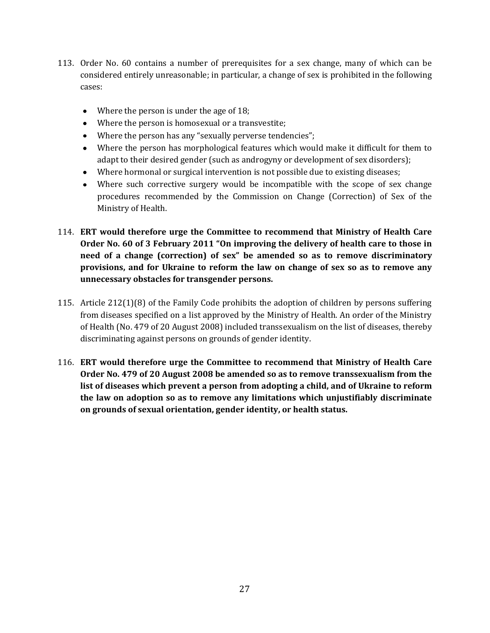- 113. Order No. 60 contains a number of prerequisites for a sex change, many of which can be considered entirely unreasonable; in particular, a change of sex is prohibited in the following cases:
	- Where the person is under the age of 18;
	- Where the person is homosexual or a transvestite;
	- Where the person has any "sexually perverse tendencies";
	- Where the person has morphological features which would make it difficult for them to adapt to their desired gender (such as androgyny or development of sex disorders);
	- Where hormonal or surgical intervention is not possible due to existing diseases;
	- Where such corrective surgery would be incompatible with the scope of sex change procedures recommended by the Commission on Change (Correction) of Sex of the Ministry of Health.
- 114. **ERT would therefore urge the Committee to recommend that Ministry of Health Care Order No. 60 of 3 February 2011 "On improving the delivery of health care to those in need of a change (correction) of sex" be amended so as to remove discriminatory provisions, and for Ukraine to reform the law on change of sex so as to remove any unnecessary obstacles for transgender persons.**
- 115. Article 212(1)(8) of the Family Code prohibits the adoption of children by persons suffering from diseases specified on a list approved by the Ministry of Health. An order of the Ministry of Health (No. 479 of 20 August 2008) included transsexualism on the list of diseases, thereby discriminating against persons on grounds of gender identity.
- 116. **ERT would therefore urge the Committee to recommend that Ministry of Health Care Order No. 479 of 20 August 2008 be amended so as to remove transsexualism from the list of diseases which prevent a person from adopting a child, and of Ukraine to reform the law on adoption so as to remove any limitations which unjustifiably discriminate on grounds of sexual orientation, gender identity, or health status.**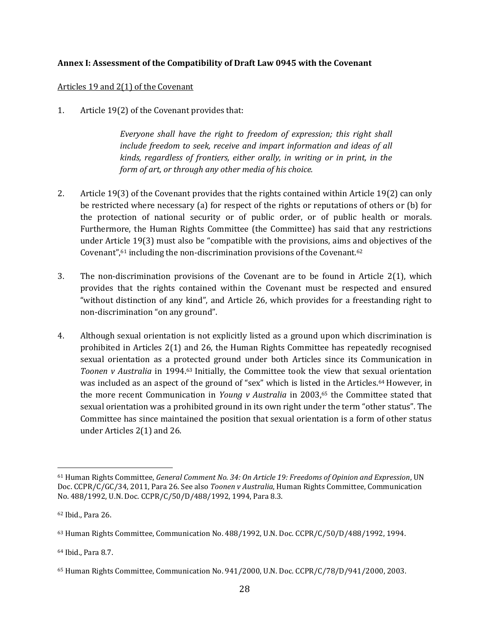### **Annex I: Assessment of the Compatibility of Draft Law 0945 with the Covenant**

#### Articles 19 and 2(1) of the Covenant

1. Article 19(2) of the Covenant provides that:

*Everyone shall have the right to freedom of expression; this right shall include freedom to seek, receive and impart information and ideas of all kinds, regardless of frontiers, either orally, in writing or in print, in the form of art, or through any other media of his choice.*

- 2. Article 19(3) of the Covenant provides that the rights contained within Article 19(2) can only be restricted where necessary (a) for respect of the rights or reputations of others or (b) for the protection of national security or of public order, or of public health or morals. Furthermore, the Human Rights Committee (the Committee) has said that any restrictions under Article 19(3) must also be "compatible with the provisions, aims and objectives of the Covenant",<sup>61</sup> including the non-discrimination provisions of the Covenant.<sup>62</sup>
- 3. The non-discrimination provisions of the Covenant are to be found in Article 2(1), which provides that the rights contained within the Covenant must be respected and ensured "without distinction of any kind", and Article 26, which provides for a freestanding right to non-discrimination "on any ground".
- 4. Although sexual orientation is not explicitly listed as a ground upon which discrimination is prohibited in Articles 2(1) and 26, the Human Rights Committee has repeatedly recognised sexual orientation as a protected ground under both Articles since its Communication in *Toonen v Australia* in 1994.<sup>63</sup> Initially, the Committee took the view that sexual orientation was included as an aspect of the ground of "sex" which is listed in the Articles.<sup>64</sup> However, in the more recent Communication in *Young v Australia* in 2003,<sup>65</sup> the Committee stated that sexual orientation was a prohibited ground in its own right under the term "other status". The Committee has since maintained the position that sexual orientation is a form of other status under Articles 2(1) and 26.

 $\overline{a}$ 

<sup>64</sup> Ibid., Para 8.7.

<sup>61</sup> Human Rights Committee, *General Comment No. 34: On Article 19: Freedoms of Opinion and Expression*, UN Doc. CCPR/C/GC/34, 2011, Para 26. See also *Toonen v Australia*, Human Rights Committee, Communication No. 488/1992, U.N. Doc. CCPR/C/50/D/488/1992, 1994, Para 8.3.

<sup>62</sup> Ibid., Para 26.

<sup>63</sup> Human Rights Committee, Communication No. 488/1992, U.N. Doc. CCPR/C/50/D/488/1992, 1994.

<sup>65</sup> Human Rights Committee, Communication No. 941/2000, U.N. Doc. CCPR/C/78/D/941/2000, 2003.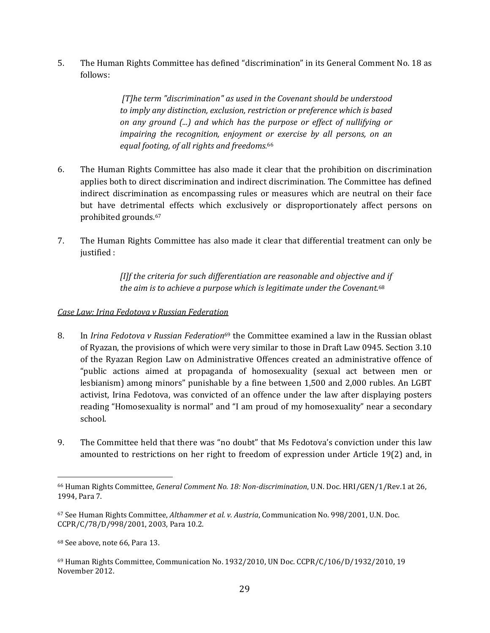5. The Human Rights Committee has defined "discrimination" in its General Comment No. 18 as follows:

> *[T]he term "discrimination" as used in the Covenant should be understood to imply any distinction, exclusion, restriction or preference which is based on any ground (...) and which has the purpose or effect of nullifying or impairing the recognition, enjoyment or exercise by all persons, on an equal footing, of all rights and freedoms.*<sup>66</sup>

- 6. The Human Rights Committee has also made it clear that the prohibition on discrimination applies both to direct discrimination and indirect discrimination. The Committee has defined indirect discrimination as encompassing rules or measures which are neutral on their face but have detrimental effects which exclusively or disproportionately affect persons on prohibited grounds.<sup>67</sup>
- 7. The Human Rights Committee has also made it clear that differential treatment can only be justified :

*[I]f the criteria for such differentiation are reasonable and objective and if the aim is to achieve a purpose which is legitimate under the Covenant.*<sup>68</sup>

#### *Case Law: Irina Fedotova v Russian Federation*

- 8. In *Irina Fedotova v Russian Federation*<sup>69</sup> the Committee examined a law in the Russian oblast of Ryazan, the provisions of which were very similar to those in Draft Law 0945. Section 3.10 of the Ryazan Region Law on Administrative Offences created an administrative offence of "public actions aimed at propaganda of homosexuality (sexual act between men or lesbianism) among minors" punishable by a fine between 1,500 and 2,000 rubles. An LGBT activist, Irina Fedotova, was convicted of an offence under the law after displaying posters reading "Homosexuality is normal" and "I am proud of my homosexuality" near a secondary school.
- 9. The Committee held that there was "no doubt" that Ms Fedotova's conviction under this law amounted to restrictions on her right to freedom of expression under Article 19(2) and, in

<sup>66</sup> Human Rights Committee, *General Comment No. 18: Non-discrimination*, U.N. Doc. HRI/GEN/1/Rev.1 at 26, 1994, Para 7.

<sup>67</sup> See Human Rights Committee, *Althammer et al. v. Austria*, Communication No. 998/2001, U.N. Doc. CCPR/C/78/D/998/2001, 2003, Para 10.2.

<sup>68</sup> See above, note 66, Para 13.

<sup>69</sup> Human Rights Committee, Communication No. 1932/2010, UN Doc. CCPR/C/106/D/1932/2010, 19 November 2012.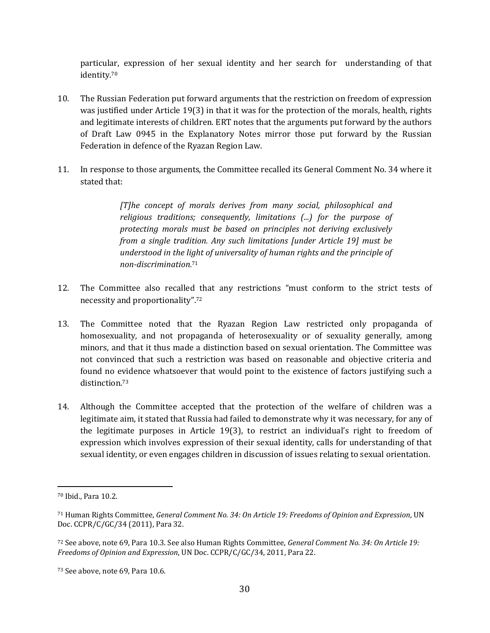particular, expression of her sexual identity and her search for understanding of that identity.<sup>70</sup>

- 10. The Russian Federation put forward arguments that the restriction on freedom of expression was justified under Article 19(3) in that it was for the protection of the morals, health, rights and legitimate interests of children. ERT notes that the arguments put forward by the authors of Draft Law 0945 in the Explanatory Notes mirror those put forward by the Russian Federation in defence of the Ryazan Region Law.
- 11. In response to those arguments, the Committee recalled its General Comment No. 34 where it stated that:

*[T]he concept of morals derives from many social, philosophical and religious traditions; consequently, limitations (...) for the purpose of protecting morals must be based on principles not deriving exclusively from a single tradition. Any such limitations [under Article 19] must be understood in the light of universality of human rights and the principle of non-discrimination.*<sup>71</sup>

- 12. The Committee also recalled that any restrictions "must conform to the strict tests of necessity and proportionality".<sup>72</sup>
- 13. The Committee noted that the Ryazan Region Law restricted only propaganda of homosexuality, and not propaganda of heterosexuality or of sexuality generally, among minors, and that it thus made a distinction based on sexual orientation. The Committee was not convinced that such a restriction was based on reasonable and objective criteria and found no evidence whatsoever that would point to the existence of factors justifying such a distinction.<sup>73</sup>
- 14. Although the Committee accepted that the protection of the welfare of children was a legitimate aim, it stated that Russia had failed to demonstrate why it was necessary, for any of the legitimate purposes in Article 19(3), to restrict an individual's right to freedom of expression which involves expression of their sexual identity, calls for understanding of that sexual identity, or even engages children in discussion of issues relating to sexual orientation.

<sup>70</sup> Ibid., Para 10.2.

<sup>71</sup> Human Rights Committee, *General Comment No. 34: On Article 19: Freedoms of Opinion and Expression*, UN Doc. CCPR/C/GC/34 (2011), Para 32.

<sup>72</sup> See above, note 69, Para 10.3. See also Human Rights Committee, *General Comment No. 34: On Article 19: Freedoms of Opinion and Expression*, UN Doc. CCPR/C/GC/34, 2011, Para 22.

<sup>73</sup> See above, note 69, Para 10.6.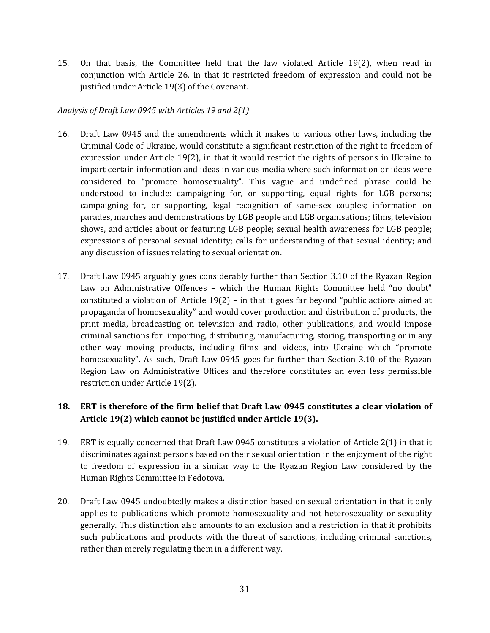15. On that basis, the Committee held that the law violated Article 19(2), when read in conjunction with Article 26, in that it restricted freedom of expression and could not be justified under Article 19(3) of the Covenant.

### *Analysis of Draft Law 0945 with Articles 19 and 2(1)*

- 16. Draft Law 0945 and the amendments which it makes to various other laws, including the Criminal Code of Ukraine, would constitute a significant restriction of the right to freedom of expression under Article 19(2), in that it would restrict the rights of persons in Ukraine to impart certain information and ideas in various media where such information or ideas were considered to "promote homosexuality". This vague and undefined phrase could be understood to include: campaigning for, or supporting, equal rights for LGB persons; campaigning for, or supporting, legal recognition of same-sex couples; information on parades, marches and demonstrations by LGB people and LGB organisations; films, television shows, and articles about or featuring LGB people; sexual health awareness for LGB people; expressions of personal sexual identity; calls for understanding of that sexual identity; and any discussion of issues relating to sexual orientation.
- 17. Draft Law 0945 arguably goes considerably further than Section 3.10 of the Ryazan Region Law on Administrative Offences – which the Human Rights Committee held "no doubt" constituted a violation of Article 19(2) – in that it goes far beyond "public actions aimed at propaganda of homosexuality" and would cover production and distribution of products, the print media, broadcasting on television and radio, other publications, and would impose criminal sanctions for importing, distributing, manufacturing, storing, transporting or in any other way moving products, including films and videos, into Ukraine which "promote homosexuality". As such, Draft Law 0945 goes far further than Section 3.10 of the Ryazan Region Law on Administrative Offices and therefore constitutes an even less permissible restriction under Article 19(2).

## **18. ERT is therefore of the firm belief that Draft Law 0945 constitutes a clear violation of Article 19(2) which cannot be justified under Article 19(3).**

- 19. ERT is equally concerned that Draft Law 0945 constitutes a violation of Article 2(1) in that it discriminates against persons based on their sexual orientation in the enjoyment of the right to freedom of expression in a similar way to the Ryazan Region Law considered by the Human Rights Committee in Fedotova.
- 20. Draft Law 0945 undoubtedly makes a distinction based on sexual orientation in that it only applies to publications which promote homosexuality and not heterosexuality or sexuality generally. This distinction also amounts to an exclusion and a restriction in that it prohibits such publications and products with the threat of sanctions, including criminal sanctions, rather than merely regulating them in a different way.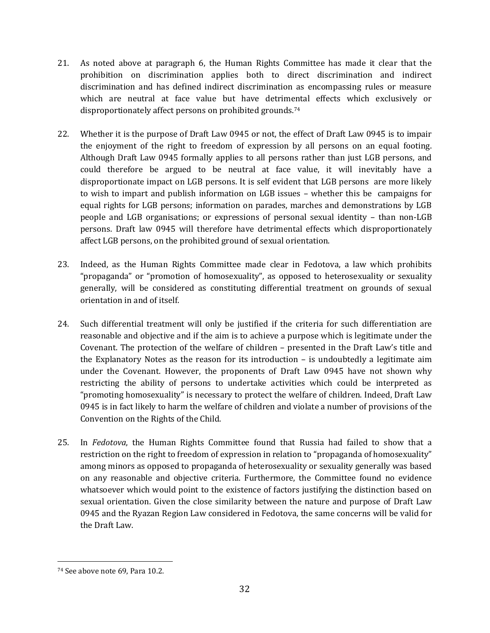- 21. As noted above at paragraph 6, the Human Rights Committee has made it clear that the prohibition on discrimination applies both to direct discrimination and indirect discrimination and has defined indirect discrimination as encompassing rules or measure which are neutral at face value but have detrimental effects which exclusively or disproportionately affect persons on prohibited grounds.<sup>74</sup>
- 22. Whether it is the purpose of Draft Law 0945 or not, the effect of Draft Law 0945 is to impair the enjoyment of the right to freedom of expression by all persons on an equal footing. Although Draft Law 0945 formally applies to all persons rather than just LGB persons, and could therefore be argued to be neutral at face value, it will inevitably have a disproportionate impact on LGB persons. It is self evident that LGB persons are more likely to wish to impart and publish information on LGB issues – whether this be campaigns for equal rights for LGB persons; information on parades, marches and demonstrations by LGB people and LGB organisations; or expressions of personal sexual identity – than non-LGB persons. Draft law 0945 will therefore have detrimental effects which disproportionately affect LGB persons, on the prohibited ground of sexual orientation.
- 23. Indeed, as the Human Rights Committee made clear in Fedotova, a law which prohibits "propaganda" or "promotion of homosexuality", as opposed to heterosexuality or sexuality generally, will be considered as constituting differential treatment on grounds of sexual orientation in and of itself.
- 24. Such differential treatment will only be justified if the criteria for such differentiation are reasonable and objective and if the aim is to achieve a purpose which is legitimate under the Covenant. The protection of the welfare of children – presented in the Draft Law's title and the Explanatory Notes as the reason for its introduction – is undoubtedly a legitimate aim under the Covenant. However, the proponents of Draft Law 0945 have not shown why restricting the ability of persons to undertake activities which could be interpreted as "promoting homosexuality" is necessary to protect the welfare of children. Indeed, Draft Law 0945 is in fact likely to harm the welfare of children and violate a number of provisions of the Convention on the Rights of the Child.
- 25. In *Fedotova*, the Human Rights Committee found that Russia had failed to show that a restriction on the right to freedom of expression in relation to "propaganda of homosexuality" among minors as opposed to propaganda of heterosexuality or sexuality generally was based on any reasonable and objective criteria. Furthermore, the Committee found no evidence whatsoever which would point to the existence of factors justifying the distinction based on sexual orientation. Given the close similarity between the nature and purpose of Draft Law 0945 and the Ryazan Region Law considered in Fedotova, the same concerns will be valid for the Draft Law.

<sup>74</sup> See above note 69, Para 10.2.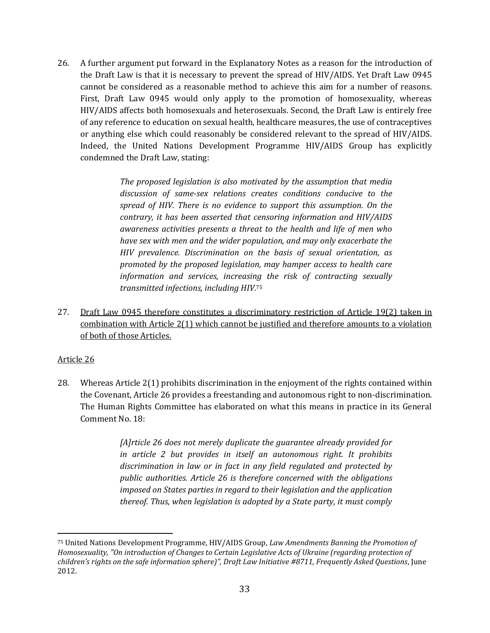26. A further argument put forward in the Explanatory Notes as a reason for the introduction of the Draft Law is that it is necessary to prevent the spread of HIV/AIDS. Yet Draft Law 0945 cannot be considered as a reasonable method to achieve this aim for a number of reasons. First, Draft Law 0945 would only apply to the promotion of homosexuality, whereas HIV/AIDS affects both homosexuals and heterosexuals. Second, the Draft Law is entirely free of any reference to education on sexual health, healthcare measures, the use of contraceptives or anything else which could reasonably be considered relevant to the spread of HIV/AIDS. Indeed, the United Nations Development Programme HIV/AIDS Group has explicitly condemned the Draft Law, stating:

> *The proposed legislation is also motivated by the assumption that media discussion of same-sex relations creates conditions conducive to the spread of HIV. There is no evidence to support this assumption. On the contrary, it has been asserted that censoring information and HIV/AIDS awareness activities presents a threat to the health and life of men who have sex with men and the wider population, and may only exacerbate the HIV prevalence. Discrimination on the basis of sexual orientation, as promoted by the proposed legislation, may hamper access to health care information and services, increasing the risk of contracting sexually transmitted infections, including HIV.*<sup>75</sup>

27. Draft Law 0945 therefore constitutes a discriminatory restriction of Article 19(2) taken in combination with Article 2(1) which cannot be justified and therefore amounts to a violation of both of those Articles.

### Article 26

 $\overline{a}$ 

28. Whereas Article 2(1) prohibits discrimination in the enjoyment of the rights contained within the Covenant, Article 26 provides a freestanding and autonomous right to non-discrimination. The Human Rights Committee has elaborated on what this means in practice in its General Comment No. 18:

> *[A]rticle 26 does not merely duplicate the guarantee already provided for in article 2 but provides in itself an autonomous right. It prohibits discrimination in law or in fact in any field regulated and protected by public authorities. Article 26 is therefore concerned with the obligations imposed on States parties in regard to their legislation and the application thereof. Thus, when legislation is adopted by a State party, it must comply*

<sup>75</sup> United Nations Development Programme, HIV/AIDS Group, *Law Amendments Banning the Promotion of Homosexuality, "On introduction of Changes to Certain Legislative Acts of Ukraine (regarding protection of children's rights on the safe information sphere)", Draft Law Initiative #8711, Frequently Asked Questions*, June 2012.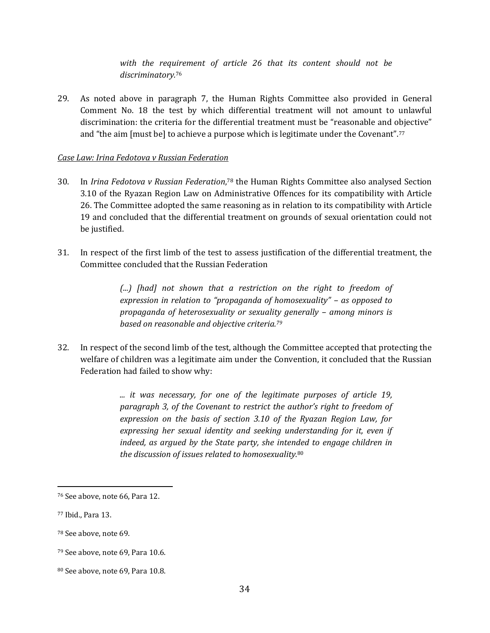*with the requirement of article 26 that its content should not be discriminatory.*<sup>76</sup>

29. As noted above in paragraph 7, the Human Rights Committee also provided in General Comment No. 18 the test by which differential treatment will not amount to unlawful discrimination: the criteria for the differential treatment must be "reasonable and objective" and "the aim [must be] to achieve a purpose which is legitimate under the Covenant".<sup>77</sup>

#### *Case Law: Irina Fedotova v Russian Federation*

- 30. In *Irina Fedotova v Russian Federation*, <sup>78</sup> the Human Rights Committee also analysed Section 3.10 of the Ryazan Region Law on Administrative Offences for its compatibility with Article 26. The Committee adopted the same reasoning as in relation to its compatibility with Article 19 and concluded that the differential treatment on grounds of sexual orientation could not be justified.
- 31. In respect of the first limb of the test to assess justification of the differential treatment, the Committee concluded that the Russian Federation

*(...) [had] not shown that a restriction on the right to freedom of expression in relation to "propaganda of homosexuality" – as opposed to propaganda of heterosexuality or sexuality generally – among minors is based on reasonable and objective criteria.<sup>79</sup>*

32. In respect of the second limb of the test, although the Committee accepted that protecting the welfare of children was a legitimate aim under the Convention, it concluded that the Russian Federation had failed to show why:

> *... it was necessary, for one of the legitimate purposes of article 19, paragraph 3, of the Covenant to restrict the author's right to freedom of expression on the basis of section 3.10 of the Ryazan Region Law, for expressing her sexual identity and seeking understanding for it, even if indeed, as argued by the State party, she intended to engage children in the discussion of issues related to homosexuality.*<sup>80</sup>

<sup>76</sup> See above, note 66, Para 12.

<sup>77</sup> Ibid., Para 13.

<sup>78</sup> See above, note 69.

<sup>79</sup> See above, note 69, Para 10.6.

<sup>80</sup> See above, note 69, Para 10.8.